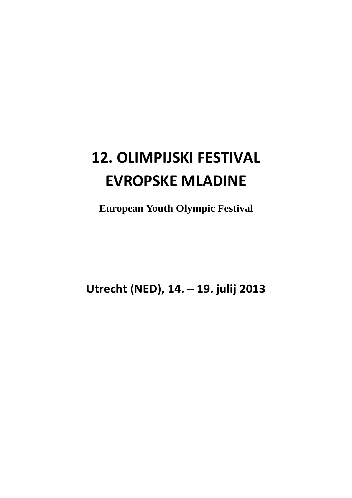## **12. OLIMPIJSKI FESTIVAL EVROPSKE MLADINE**

**European Youth Olympic Festival** 

**Utrecht (NED), 14. – 19. julij 2013**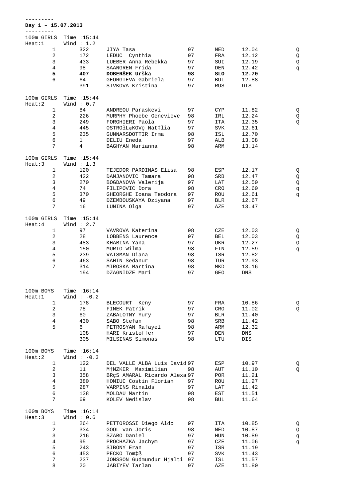| Day $1 - 15.07.2013$   |                    |                                            |          |            |                    |        |
|------------------------|--------------------|--------------------------------------------|----------|------------|--------------------|--------|
| 100m GIRLS             | Time $:15:44$      |                                            |          |            |                    |        |
| Heat:1                 | Wind $: 1.2$       |                                            |          |            |                    |        |
| $\mathbf{1}$           | 322                | JIYA Tasa                                  | 97       | NED        | 12.04              | Q      |
| $\overline{c}$         | 172                | LEDUC Cynthia                              | 97       | FRA        | 12.12              | Q      |
| 3                      | 433                | LUEBER Anna Rebekka                        | 97       | SUI        | 12.19              | Q      |
| $\overline{4}$         | 98                 | SAANGREN Frida                             | 97       | DEN        | 12.42              | đ      |
| 5                      | 407                | DOBERŠEK Urška                             | 98       | SLO        | 12.70              |        |
| 6                      | 64                 | GEORGIEVA Gabriela                         | 97       | BUL        | 12.88              |        |
|                        | 391                | SIVKOVA Kristina                           | 97       | RUS        | DIS                |        |
|                        |                    |                                            |          |            |                    |        |
| 100m GIRLS             | Time $:15:44$      |                                            |          |            |                    |        |
| Heat:2                 | Wind: $0.7$        |                                            |          |            |                    |        |
| $\mathbf{1}$           | 84                 | ANDREOU Paraskevi                          | 97       | CYP        | 11.82              | Q      |
| $\overline{c}$<br>3    | 226<br>249         | MURPHY Phoebe Genevieve<br>FORGHIERI Paola | 98<br>97 | IRL<br>ITA | 12.24<br>12.35     | Q<br>Q |
| 4                      | 445                | OSTROłLęKOVc Nat‡lia                       | 97       | SVK        | 12.61              |        |
| 5                      | 235                | GUNNARSDOTTIR Irma                         | 98       | ISL        | 12.70              |        |
| 6                      | $\mathbf{1}$       | DELIU Eneda                                | 97       | ALB        | 13.08              |        |
| 7                      | $\overline{4}$     | BAGHYAN Marianna                           | 98       | ARM        | 13.14              |        |
|                        |                    |                                            |          |            |                    |        |
| 100m GIRLS             | Time $:15:44$      |                                            |          |            |                    |        |
| Heat:3                 | Wind $: 1.3$       |                                            |          |            |                    |        |
| $\mathbf{1}$           | 120                | TEJEDOR PARDINAS Elisa                     | 98       | ESP        | 12.17              | Q      |
| $\overline{c}$         | 422                | DAMJANOVIC Tamara                          | 98       | SRB        | 12.47              | Q      |
| 3                      | 270                | BOGDANOVA Valerija                         | 97       | LAT        | 12.50              | Q      |
| $\overline{4}$         | 74                 | FILIPOVIC Dora                             | 98       | CRO        | 12.60              | q      |
| 5<br>$\epsilon$        | 370                | GHEORGHE Ioana Teodora                     | 97       | ROU        | 12.61              | đ      |
| 7                      | 49<br>16           | DZEMBOUSKAYA Dziyana<br>LUNINA Olga        | 97<br>97 | BLR<br>AZE | 12.67<br>13.47     |        |
|                        |                    |                                            |          |            |                    |        |
| 100m GIRLS             | Time $:15:44$      |                                            |          |            |                    |        |
| Heat:4                 | Wind $: 2.7$       |                                            |          |            |                    |        |
| $\mathbf{1}$           | 97                 | VAVROVA Katerina                           | 98       | CZE        | 12.03              | Q      |
| $\overline{c}$         | 28                 | LOBBENS Laurence                           | 97       | <b>BEL</b> | 12.03              | Q      |
| 3                      | 483                | KHABINA Yana                               | 97       | UKR        | 12.27              | Q      |
| 4                      | 150                | MURTO Wilma                                | 98       | FIN        | 12.59              | đ      |
| 5                      | 239                | VAISMAN Diana                              | 98       | ISR        | 12.82              |        |
| $\epsilon$             | 463                | SAHIN Sedanur                              | 98       | TUR        | 12.93              |        |
| 7                      | 314                | MIROSKA Martina                            | 98       | MKD        | 13.16              |        |
|                        | 194                | DZAGNIDZE Mari                             | 97       | GEO        | <b>DNS</b>         |        |
|                        |                    |                                            |          |            |                    |        |
| 100m BOYS              | Time $:16:14$      |                                            |          |            |                    |        |
| Heat:1                 | Wind $:-0.2$       |                                            |          |            |                    |        |
| $\mathbf 1$            | 178                | BLECOURT Keny                              | 97       | FRA        | 10.86              | Q      |
| $\sqrt{2}$             | 78                 | FINEK Patrik                               | 97       | CRO        | 11.02              | Q      |
| 3                      | 60                 | ZABALOTNY Yury                             | 97       | <b>BLR</b> | 11.40              |        |
| $\bf 4$                | 430                | SABO Stefan                                | 98       | SRB        | 11.42              |        |
| 5                      | б                  | PETROSYAN Rafayel                          | 98       | ARM        | 12.32              |        |
|                        | 108                | HARI Kristoffer                            | 97       | DEN        | $\mathop{\rm DNS}$ |        |
|                        | 305                | MILSINAS Simonas                           | 98       | LTU        | DIS                |        |
| 100m BOYS              | Time $:16:14$      |                                            |          |            |                    |        |
| Heat:2                 | Wind $:-0.3$       |                                            |          |            |                    |        |
| $\mathbf{1}$           | 122                | DEL VALLE ALBA Luis David 97               |          | ESP        | 10.97              | Q      |
| $\overline{a}$         | 11                 | M†NZKER Maximilian                         | 98       | AUT        | 11.10              | Q      |
| $\mathsf{3}$           | 358                | BRÇS AMARAL Ricardo Alexa 97               |          | POR        | 11.21              |        |
| $\bf 4$                | 380                | HOMIUC Costin Florian                      | 97       | ROU        | 11.27              |        |
| 5                      | 287                | VARPINS Rinalds                            | 97       | LAT        | 11.42              |        |
| $\epsilon$             | 138                | MOLDAU Martin                              | 98       | EST        | 11.51              |        |
| $7\overline{ }$        | 69                 | KOLEV Nedislav                             | 98       | BUL        | 11.64              |        |
|                        |                    |                                            |          |            |                    |        |
| 100m BOYS              | Time $:16:14$      |                                            |          |            |                    |        |
| Heat:3<br>$\mathbf{1}$ | Wind: $0.6$<br>264 | PETTOROSSI Diego Aldo                      | 97       | ITA        | 10.85              |        |
| $\sqrt{2}$             | 334                | GOOL van Joris                             | 98       | NED        | 10.87              | Q<br>Q |
| $\mathsf{3}$           | 216                | SZABO Daniel                               | 97       | HUN        | 10.89              | p      |
| $\bf 4$                | 95                 | PROCHAZKA Jachym                           | 97       | CZE        | 11.06              | đ      |
| 5                      | 243                | SIBONY Eran                                | 97       | ISR        | 11.19              |        |
| $\epsilon$             | 453                | PECKO Tom‡ß                                | 97       | <b>SVK</b> | 11.43              |        |
| $\sqrt{ }$             | 237                | JONSSON Gudmundur Hjalti 97                |          | ISL        | 11.57              |        |
| 8                      | 20                 | JABIYEV Tarlan                             | 97       | AZE        | 11.80              |        |

---------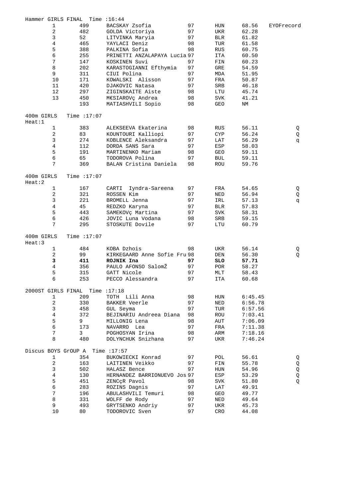|                      |                | Hammer GIRLS FINAL               | Time $:16:44$                |    |            |         |            |
|----------------------|----------------|----------------------------------|------------------------------|----|------------|---------|------------|
|                      | 1              | 499                              | BACSKAY Zsofia               | 97 | HUN        | 68.56   | EYOFrecord |
|                      | $\overline{c}$ | 482                              | GOLDA Victoriya              | 97 | UKR        | 62.28   |            |
|                      | 3              | 52                               | LITVINKA Maryia              | 97 | BLR        | 61.82   |            |
|                      | $\overline{4}$ | 465                              | YAYLACI Deniz                | 98 | TUR        | 61.58   |            |
|                      | 5              | 388                              | PALKINA Sofia                | 98 | RUS        | 60.75   |            |
|                      | 6              | 255                              | PRINETTI ANZALAPAYA Lucia 97 |    | ITA        | 60.50   |            |
|                      | 7              | 147                              | KOSKINEN Suvi                | 97 | FIN        | 60.23   |            |
|                      | 8              | 202                              | KARASTOGIANNI Efthymia       | 97 | GRE        | 54.59   |            |
|                      | 9              | 311                              | CIUI Polina                  | 97 | MDA        | 51.95   |            |
|                      | 10             | 171                              | KOWALSKI Alisson             | 97 | FRA        | 50.87   |            |
|                      | 11             | 420                              | DJAKOVIC Natasa              | 97 | SRB        | 46.18   |            |
|                      | 12             | 297                              | ZIGINSKAITE Aiste            | 98 | LTU        | 45.74   |            |
|                      | 13             | 450                              | M€SIAROVç Andrea             | 98 | SVK        | 41.21   |            |
|                      |                | 193                              | MATIASHVILI Sopio            | 98 | GEO        | ΝM      |            |
|                      |                |                                  |                              |    |            |         |            |
| 400m GIRLS<br>Heat:1 |                | Time $:17:07$                    |                              |    |            |         |            |
|                      | $\mathbf{1}$   | 383                              | ALEKSEEVA Ekaterina          | 98 | RUS        | 56.11   | Q          |
|                      | $\sqrt{2}$     | 83                               | KOUNTOURI Kalliopi           | 97 | <b>CYP</b> | 56.24   | Q          |
|                      | 3              | 274                              | KOBLENCE Aleksandra          | 97 | LAT        | 56.29   | đ          |
|                      | $\overline{4}$ | 112                              | DORDA SANS Sara              | 97 | ESP        | 58.03   |            |
|                      | 5              | 191                              | MARTINENKO Mariam            | 98 | GEO        | 59.11   |            |
|                      | 6              | 65                               | TODOROVA Polina              | 97 | <b>BUL</b> | 59.11   |            |
|                      | 7              | 369                              | BALAN Cristina Daniela       | 98 | ROU        | 59.76   |            |
| 400m GIRLS           |                | Time $:17:07$                    |                              |    |            |         |            |
| Heat:2               |                |                                  |                              |    |            |         |            |
|                      | $\mathbf{1}$   | 167                              | CARTI<br>Iyndra-Sareena      | 97 | FRA        | 54.65   | Q          |
|                      | 2              | 321                              | ROSSEN Kim                   | 97 | NED        | 56.94   | Q          |
|                      | 3              | 221                              | BROMELL Jenna                | 97 | IRL        | 57.13   | đ          |
|                      | $\overline{4}$ | 45                               | REDZKO Karyna                | 97 | BLR        | 57.83   |            |
|                      | 5              | 443                              | SAMEKOVÇ Martina             | 97 | SVK        | 58.31   |            |
|                      | 6              | 426                              | JOVIC Luna Vodana            | 98 | SRB        | 59.15   |            |
|                      | 7              | 295                              | STOSKUTE Dovile              | 97 | LTU        | 60.79   |            |
| 400m GIRLS           |                | Time $:17:07$                    |                              |    |            |         |            |
| Heat:3               |                |                                  |                              |    |            |         |            |
|                      | 1              | 484                              | KOBA Dzhois                  | 98 | UKR        | 56.14   | Q          |
|                      | $\sqrt{2}$     | 99                               | KIRKEGAARD Anne Sofie Fru 98 |    | DEN        | 56.30   | Q          |
|                      | 3              | 411                              | ROJNIK Ina                   | 97 | SLO        | 57.71   |            |
|                      | $\overline{4}$ | 356                              | PAULO AFONSO SalomŽ          | 97 | POR        | 58.27   |            |
|                      | 5              | 315                              | GATT Nicole                  | 97 | MLT        | 58.43   |            |
|                      | б              | 253                              | PECCO Alessandra             | 97 | ITA        | 60.68   |            |
|                      |                |                                  |                              |    |            |         |            |
|                      |                | 2000ST GIRLS FINAL Time : 17:18  |                              |    |            |         |            |
|                      | $\mathbf{1}$   | 209                              | TOTH Lili Anna               | 98 | HUN        | 6:45.45 |            |
|                      | 2              | 330                              | BAKKER Veerle                | 97 | NED        | 6:56.78 |            |
|                      | 3              | 458                              | GUL Seyma                    | 97 | TUR        | 6:57.56 |            |
|                      | $\overline{4}$ | 372                              | BEJINARIU Andreea Diana      | 98 | ROU        | 7:03.41 |            |
|                      | 5              | 9                                | MILLONIG Lena                | 98 | AUT        | 7:06.09 |            |
|                      | 6              | 173                              | NAVARRO Lea                  | 97 | FRA        | 7:11.38 |            |
|                      | $\overline{7}$ | 3                                | POGHOSYAN Irina              | 98 | ARM        | 7:18.16 |            |
|                      | 8              | 480                              | DOLYNCHUK Snizhana           | 97 | UKR        | 7:46.24 |            |
|                      |                | Discus BOYS GrOUP A Time : 17:57 |                              |    |            |         |            |
|                      | $\mathbf{1}$   | 354                              | BUKOWIECKI Konrad            | 97 | POL        | 56.61   | Q          |
|                      | 2              | 163                              | LAITINEN Veikko              | 97 | FIN        | 55.78   | Q          |
|                      | 3              | 502                              | HALASZ Bence                 | 97 | HUN        | 54.96   | Q          |
|                      | 4              | 130                              | HERNANDEZ BARRIONUEVO Jos 97 |    | ESP        | 53.29   | Q          |
|                      | 5              | 451                              | ZENCÇR Pavol                 | 98 | SVK        | 51.80   | Q          |
|                      | б              | 283                              | ROZINS Dagnis                | 97 |            | 49.91   |            |
|                      |                |                                  |                              |    | LAT        |         |            |
|                      | $\overline{7}$ | 196                              | ABULASHVILI Temuri           | 98 | GEO        | 49.77   |            |
|                      | 8              | 331                              | WOLFF de Rody                | 97 | NED        | 49.64   |            |
|                      | 9              | 493                              | GRYTSENKO Andriy             | 97 | UKR        | 45.73   |            |
|                      | 10             | 80                               | TODOROVIC Sven               | 97 | CRO        | 44.08   |            |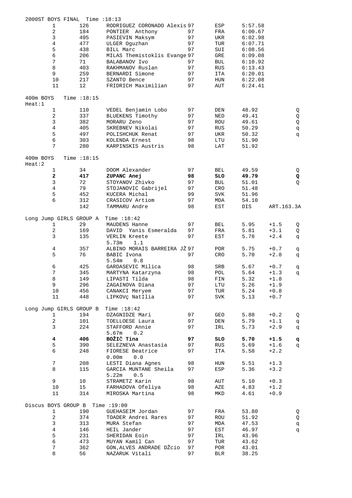|                     |                | 2000ST BOYS FINAL Time : 18:13   |                                |    |            |         |             |   |
|---------------------|----------------|----------------------------------|--------------------------------|----|------------|---------|-------------|---|
|                     | 1              | 126                              | RODRIGUEZ CORONADO Alexis 97   |    | ESP        | 5:57.58 |             |   |
|                     | $\sqrt{2}$     | 184                              | PONTIER Anthony                | 97 | FRA        | 6:00.67 |             |   |
|                     | $\mathsf{3}$   | 495                              | PASIEVIN Maksym                | 97 | UKR        | 6:02.98 |             |   |
|                     | $\sqrt{4}$     | 477                              | ULGER Oquzhan                  | 97 | TUR        | 6:07.71 |             |   |
|                     | 5              | 438                              | <b>BILL Marc</b>               | 97 | SUI        | 6:08.56 |             |   |
|                     | 6              | 206                              | MILAS Themistoklis Evange 97   |    | GRE        | 6:09.08 |             |   |
|                     | $7\phantom{.}$ | 71                               | <b>BALABANOV Ivo</b>           | 97 | BUL        | 6:10.92 |             |   |
|                     | 8              | 403                              | RAKHMANOV Ruslan               | 97 | <b>RUS</b> | 6:13.43 |             |   |
|                     | 9              | 259                              | BERNARDI Simone                | 97 | ITA        | 6:20.01 |             |   |
|                     | 10             | 217                              | SZANTO Bence                   | 97 | HUN        | 6:22.08 |             |   |
|                     | 11             | 12                               | FRIDRICH Maximilian            | 97 | AUT        | 6:24.41 |             |   |
|                     |                |                                  |                                |    |            |         |             |   |
| 400m BOYS<br>Heat:1 |                | Time $:18:15$                    |                                |    |            |         |             |   |
|                     | $\mathbf{1}$   | 110                              | VEDEL Benjamin Lobo            | 97 | DEN        | 48.92   |             | Q |
|                     | $\sqrt{2}$     | 337                              | BLUEKENS Timothy               | 97 | NED        | 49.41   |             | Q |
|                     | $\mathbf{3}$   | 382                              | MORARU Zeno                    | 97 | ROU        | 49.61   |             | Q |
|                     | $\overline{4}$ | 405                              | SKREBNEV Nikolai               | 97 | <b>RUS</b> | 50.29   |             | q |
|                     | 5              | 497                              | POLISHCHUK Renat               | 97 | UKR        | 50.32   |             | q |
|                     | 6              | 303                              | KOLENDA Ernest                 | 98 | LTU        | 51.90   |             |   |
|                     | 7              | 280                              | KARPINSKIS Austris             | 98 | LAT        | 51.92   |             |   |
| 400m BOYS<br>Heat:2 |                | Time $:18:15$                    |                                |    |            |         |             |   |
|                     | 1              | 34                               | DOOM Alexander                 | 97 | <b>BEL</b> | 49.59   |             | Q |
|                     | $\mathbf 2$    | 417                              | ZUPANC Anej                    | 98 | SLO        | 49.79   |             | Q |
|                     | $\mathsf{3}$   | 72                               | STOYANOV Zhivko                | 97 | BUL        | 51.01   |             | Q |
|                     | $\overline{4}$ | 79                               | STOJANOVIC Gabrijel            | 97 | CRO        | 51.48   |             |   |
|                     | 5              | 452                              | KUCERA Michal                  | 99 | <b>SVK</b> | 51.96   |             |   |
|                     | 6              | 312                              | CRASICOV Artiom                | 97 | MDA        | 54.10   |             |   |
|                     |                | 142                              | TAMMARU Andre                  | 98 | EST        | DIS     | ART. 163.3A |   |
|                     |                |                                  |                                |    |            |         |             |   |
|                     | 1              | Long Jump GIRLS GROUP A<br>29    | Time $:18:42$<br>MAUDENS Hanne | 97 | <b>BEL</b> | 5.95    | $+1.5$      | Q |
|                     | $\overline{c}$ | 169                              | DAVID Yanis Esmeralda          | 97 | FRA        | 5.81    | $+3.1$      | Q |
|                     | 3              | 135                              | VERLIN Kreete                  | 97 | EST        | 5.78    | $+2.4$      | đ |
|                     |                |                                  | 5.73m<br>1.1                   |    |            |         |             |   |
|                     | 4              | 357                              | ALBINO MORAIS BARREIRA JŽ 97   |    | POR        | 5.75    | $+0.7$      | q |
|                     | 5              | 76                               | BABIC Ivona                    | 97 | CRO        | 5.70    | $+2.8$      | q |
|                     |                |                                  | 5.54m<br>0.8                   |    |            |         |             |   |
|                     | 6              | 425                              | GARDASEVIC Milica              | 98 | SRB        | 5.67    | $+0.7$      | đ |
|                     | $\sqrt{ }$     | 345                              | MARTYNA Katarzyna              | 98 | POL        | 5.64    | $+1.3$      | q |
|                     | 8              | 149                              | LIPASTI Tilda                  | 98 | FIN        | 5.32    | $+1.8$      |   |
|                     | 9              | 296                              | ZAGAINOVA Diana                | 97 | LTU        | 5.26    | $+1.9$      |   |
|                     | 10             | 456                              | CANAKCI Meryem                 | 97 | TUR        | 5.24    | $+0.8$      |   |
|                     | 11             | 448                              | LIPKOVÇ Nat‡lia                | 97 | SVK        | 5.13    | $+0.7$      |   |
|                     |                |                                  |                                |    |            |         |             |   |
|                     |                | Long Jump GIRLS GROUP B          | Time $:18:42$                  |    |            |         |             |   |
|                     | $\mathbf{1}$   | 194                              | DZAGNIDZE Mari                 | 97 | GEO        | 5.88    | $+0.2$      | Q |
|                     | $\overline{2}$ | 101                              | TOELLOESE Laura                | 97 | DEN        | 5.79    | $+1.1$      | đ |
|                     | 3              | 224                              | STAFFORD Annie                 | 97 | IRL        | 5.73    | $+2.9$      | đ |
|                     |                |                                  | 5.67m<br>0.2                   |    |            |         |             |   |
|                     | 4              | 406                              | BOŽIČ Tina                     | 97 | SLO        | 5.70    | $+1.5$      | đ |
|                     | 5              | 390                              | SELEZNEVA Anastasia            | 97 | RUS        | 5.69    | $+1.6$      | q |
|                     | 6              | 248                              | FIORESE Beatrice               | 97 | ITA        | 5.58    | $+2.2$      |   |
|                     |                |                                  | $0.00m$ $0.0$                  |    |            |         |             |   |
|                     | 7              | 208                              | LESTI Diana Agnes              | 98 | HUN        | 5.51    | $+1.3$      |   |
|                     | 8              | 115                              | GARCIA MUNTANE Sheila          | 97 | ESP        | 5.36    | $+3.2$      |   |
|                     |                |                                  | 5.22m<br>0.5                   |    |            |         |             |   |
|                     | 9              | 10                               | STRAMETZ Karin                 | 98 | AUT        | 5.10    | $+0.3$      |   |
|                     | 10             | 15                               | FARHADOVA Ofeliya              | 98 | AZE        | 4.83    | $+1.2$      |   |
|                     | 11             | 314                              | MIROSKA Martina                | 98 | MKD        | 4.61    | $+0.9$      |   |
|                     |                |                                  |                                |    |            |         |             |   |
|                     |                | Discus BOYS GROUP B Time : 19:00 |                                |    |            |         |             |   |
|                     | $\mathbf{1}$   | 190                              | GUEHASEIM Jordan               | 97 | FRA        | 53.80   |             | Q |
|                     | 2              | 374                              | TOADER Andrei Rares            | 97 | ROU        | 51.92   |             | Q |
|                     | $\mathsf{3}$   | 313                              | MURA Stefan                    | 97 | MDA        | 47.53   |             | đ |
|                     | $\overline{4}$ | 146                              | HEIL Jander                    | 97 | EST        | 46.97   |             | q |
|                     | 5              | 231                              | SHERIDAN Eoin                  | 97 | IRL        | 43.96   |             |   |
|                     | 6              | 473                              | MUYAN Kamil Can                | 97 | TUR        | 43.62   |             |   |
|                     | 7              | 362                              | GON, ALVES ANDRADE DŽCio       | 97 | POR        | 43.01   |             |   |
|                     | 8              | 56                               | NAZARUK Vitali                 | 97 | <b>BLR</b> | 38.25   |             |   |
|                     |                |                                  |                                |    |            |         |             |   |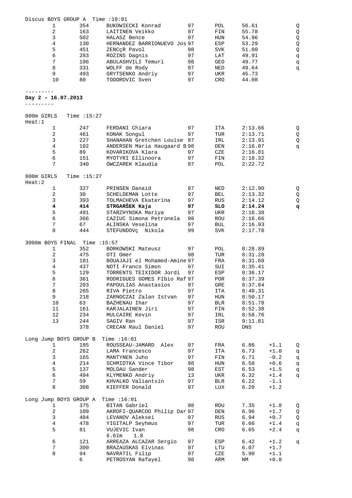| Discus BOYS GROUP A    |               | Time $:19:01$                |    |             |            |        |             |
|------------------------|---------------|------------------------------|----|-------------|------------|--------|-------------|
| 1                      | 354           | BUKOWIECKI Konrad            | 97 | POL         | 56.61      |        | Q           |
| 2                      | 163           | LAITINEN Veikko              | 97 | FIN         | 55.78      |        | Q           |
| 3                      | 502           | HALASZ Bence                 | 97 | HUN         | 54.96      |        | $\mathsf Q$ |
| $\overline{4}$         | 130           | HERNANDEZ BARRIONUEVO Jos 97 |    | ESP         | 53.29      |        | $\mathsf Q$ |
| 5                      | 451           | ZENCCR Pavol                 | 98 | SVK         | 51.80      |        | Q           |
| 6                      | 283           | ROZINS Dagnis                | 97 | LAT         | 49.91      |        | p           |
| $7\phantom{.}$         | 196           | ABULASHVILI Temuri           | 98 | GEO         | 49.77      |        | q           |
| 8                      | 331           | WOLFF de Rody                | 97 | NED         | 49.64      |        | đ           |
| 9                      | 493           | GRYTSENKO Andriy             | 97 | UKR         | 45.73      |        |             |
| 10                     | 80            | TODOROVIC Sven               | 97 | CRO         | 44.08      |        |             |
|                        |               |                              |    |             |            |        |             |
|                        |               |                              |    |             |            |        |             |
| Day $2 - 16.07.2013$   |               |                              |    |             |            |        |             |
|                        |               |                              |    |             |            |        |             |
|                        |               |                              |    |             |            |        |             |
| 800m GIRLS             | Time $:15:27$ |                              |    |             |            |        |             |
| Heat:1                 |               |                              |    |             |            |        |             |
| 1                      | 247           | FERDANI Chiara               | 97 | ITA         | 2:13.66    |        | Q           |
| $\sqrt{2}$             | 461           | KONAK Songul                 | 97 | TUR         | 2:13.71    |        | Q           |
| 3                      | 227           | SHANAHAN Gretchen Louise 97  |    | IRL         | 2:13.91    |        | Q           |
| $\sqrt{4}$             | 102           | ANDERSEN Maria Haugaard B 98 |    | DEN         | 2:16.07    |        | q           |
| 5                      | 89            | KOVARIKOVA Klara             | 97 | CZE         | 2:16.81    |        |             |
| 6                      | 151           | MYOTYRI Ellinoora            | 97 | FIN         | 2:18.32    |        |             |
| 7                      | 340           | OWCZAREK Klaudia             | 97 | POL         | 2:22.72    |        |             |
|                        |               |                              |    |             |            |        |             |
| 800m GIRLS             | Time $:15:27$ |                              |    |             |            |        |             |
| Heat:2                 |               |                              |    |             |            |        |             |
| 1                      | 327           | PRINSEN Danaid               | 97 | NED         | 2:12.90    |        |             |
| 2                      | 30            | SCHELDEMAN Lotte             | 97 |             | 2:13.32    |        | Q           |
|                        |               |                              |    | BEL         |            |        | Q           |
| 3                      | 393           | TOLMACHEVA Ekaterina         | 97 | RUS         | 2:14.12    |        | Q           |
| 4                      | 414           | STRGARŠEK Kaja               | 97 | SLO         | 2:14.24    |        | đ           |
| 5                      | 491           | STARZHYNSKA Mariya           | 97 | UKR         | 2:16.38    |        |             |
| 6                      | 366           | CAZIUC Simona Petronela      | 98 | ROU         | 2:16.66    |        |             |
| 7                      | 67            | ALINSKA Veselina             | 97 | BUL         | 2:16.93    |        |             |
| 8                      | 444           | STEFUNDOVÇ Nikola            | 99 | SVK         | 2:17.78    |        |             |
|                        |               |                              |    |             |            |        |             |
| 3000m BOYS FINAL       | Time :15:57   |                              |    |             |            |        |             |
| 1                      | 352           | BORKOWSKI Mateusz            | 97 | POL         | 8:28.89    |        |             |
| $\sqrt{2}$             | 475           | OTI Omer                     | 98 | TUR         | 8:31.28    |        |             |
| 3                      | 181           | BOUAJAJI el Mohamed-Amine 97 |    | FRA         | 8:31.68    |        |             |
| $\sqrt{4}$             | 437           | NOTI Franco Simon            | 97 | SUI         | 8:35.41    |        |             |
| 5                      | 129           | TORRENTS TEIXIDOR Jordi      | 97 | ESP         | 8:36.17    |        |             |
| 6                      | 361           | RODRIGUES GOMES F‡bio Raf 97 |    | POR         | 8:37.39    |        |             |
| $\overline{7}$         | 203           | PAPOULIAS Anastasios         | 97 | GRE         | 8:37.84    |        |             |
| 8                      | 265           | RIVA Pietro                  | 97 | <b>ITA</b>  | 8:40.31    |        |             |
| 9                      | 218           | ZARNOCZAI Zalan Istvan       | 97 | HUN         | 8:50.17    |        |             |
| 10                     | 63            | BAZHENAU Ihar                | 97 | BLR         | 8:51.78    |        |             |
| 11                     | 161           | KARJALAINEN Jiri             | 97 | FIN         | 8:52.38    |        |             |
| 12                     | 234           | MULCAIRE Kevin               | 97 | IRL         | 8:58.76    |        |             |
| 13                     | 244           | SAGIV Ran                    | 97 | ISR         | 9:11.81    |        |             |
|                        | 378           | CRECAN Raul Daniel           | 97 | ROU         | <b>DNS</b> |        |             |
|                        |               |                              |    |             |            |        |             |
|                        |               | Time $:16:01$                |    |             |            |        |             |
| Long Jump BOYS GROUP B |               |                              |    |             |            |        |             |
| 1                      | 185           | ROUSSEAU-JAMARD<br>Alex      | 97 | FRA         | 6.86       | $+1.1$ | Q           |
| $\overline{c}$         | 262           | LAMA Francesco               | 97 | <b>ITA</b>  | 6.73       | $+1.0$ | q           |
| 3                      | 165           | MANTYNEN Juho                | 97 | ${\tt FIN}$ | 6.71       | $-0.2$ | q           |
| 4                      | 214           | SCHMIDTKA Vince Tibor        | 98 | HUN         | 6.58       | $+0.6$ | q           |
| 5                      | 137           | MOLDAU Sander                | 98 | EST         | 6.53       | $+1.5$ | q           |
| $\epsilon$             | 494           | KLYMENKO Andriy              | 13 | UKR         | 6.32       | $+1.4$ | đ           |
| $7\overline{ }$        | 59            | KHVALKO Valiantsin           | 97 | BLR         | 6.22       | $-1.1$ |             |
| 8                      | 308           | KIEFFER Donald               | 97 | LUX         | 6.20       | $+1.2$ |             |
|                        |               |                              |    |             |            |        |             |
| Long Jump BOYS GROUP A |               | Time $:16:01$                |    |             |            |        |             |
| 1                      | 375           | BITAN Gabriel                | 98 | ROU         | 7.35       | $+1.8$ | Q           |
| $\overline{a}$         | 109           | AKROFI-QUARCOO Philip Dar 97 |    | DEN         | 6.96       | $+1.7$ | Q           |
| $\mathsf{3}$           | 404           | LEVANOV Aleksei              | 97 | RUS         | 6.94       | $+0.7$ | Q           |
| $\overline{4}$         | 478           | YIGITALP Seyhmus             | 97 | TUR         | 6.66       | $+1.4$ | q           |
| 5                      | 81            | VUJEVIC Ivan                 | 98 | CRO         | 6.65       | $+2.4$ | đ           |
|                        |               | 6.61m<br>1.8                 |    |             |            |        |             |
| $\epsilon$             | 121           | ARREAZA ALCAZAR Sergio       | 97 | ESP         | 6.42       | $+1.2$ | đ           |
| 7                      | 300           | BRAZAUSKAS Elvinas           | 97 | LTU         | 6.07       | $+1.7$ |             |
| 8                      | 94            | NAVRATIL Filip               | 97 | CZE         | 5.90       | $+1.1$ |             |
|                        | 6             | PETROSYAN Rafayel            | 98 | ARM         | ΝM         | $+0.0$ |             |
|                        |               |                              |    |             |            |        |             |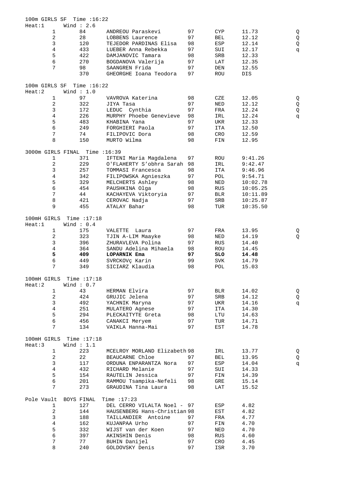| 100m GIRLS SF                  | Time $:16:22$ |                              |    |            |          |        |
|--------------------------------|---------------|------------------------------|----|------------|----------|--------|
| Heat:1                         | Wind $: 2.6$  |                              |    |            |          |        |
| $\mathbf{1}$                   | 84            | ANDREOU Paraskevi            | 97 | <b>CYP</b> | 11.73    | Q      |
| $\sqrt{2}$                     | 28            | LOBBENS Laurence             | 97 | BEL        | 12.12    | Q      |
| 3                              | 120           | TEJEDOR PARDINAS Elisa       | 98 | ESP        | 12.14    | Q      |
| $\overline{4}$                 | 433           | LUEBER Anna Rebekka          | 97 | SUI        | 12.17    | q      |
| $\mathsf S$                    | 422           | DAMJANOVIC Tamara            | 98 | SRB        | 12.33    |        |
| 6                              | 270           | BOGDANOVA Valerija           | 97 | LAT        | 12.35    |        |
| 7                              | 98            | SAANGREN Frida               | 97 | DEN        | 12.55    |        |
|                                | 370           | GHEORGHE Ioana Teodora       | 97 | ROU        | DIS      |        |
| 100m GIRLS SF                  | Time $:16:22$ |                              |    |            |          |        |
| Heat:2                         | Wind $: 1.0$  |                              |    |            |          |        |
| 1                              | 97            | VAVROVA Katerina             | 98 | CZE        | 12.05    | Q      |
| $\mathbf 2$                    | 322           | JIYA Tasa                    | 97 | $\rm NED$  | 12.12    |        |
| 3                              | 172           | LEDUC Cynthia                | 97 | FRA        | 12.24    | Q<br>Q |
| $\,4$                          | 226           | MURPHY Phoebe Genevieve      | 98 | IRL        | 12.24    | q      |
| 5                              | 483           | KHABINA Yana                 | 97 | UKR        | 12.33    |        |
| $\epsilon$                     |               |                              |    |            |          |        |
|                                | 249           | FORGHIERI Paola              | 97 | ITA        | 12.50    |        |
| $\sqrt{ }$                     | 74            | FILIPOVIC Dora               | 98 | CRO        | 12.59    |        |
| 8                              | 150           | MURTO Wilma                  | 98 | FIN        | 12.95    |        |
| 3000m GIRLS FINAL Time : 16:39 |               |                              |    |            |          |        |
| 1                              | 371           | IFTENI Maria Magdalena       | 97 | ROU        | 9:41.26  |        |
| $\boldsymbol{2}$               | 229           | O'FLAHERTY S'obhra Sarah 98  |    |            | 9:42.47  |        |
|                                |               |                              |    | IRL        |          |        |
| 3                              | 257           | TOMMASI Francesca            | 98 | <b>ITA</b> | 9:46.96  |        |
| $\overline{4}$                 | 342           | FILIPOWSKA Agnieszka         | 97 | POL        | 9:54.71  |        |
| 5                              | 329           | MELCHERTS Ashley             | 98 | NED        | 10:02.78 |        |
| $\epsilon$                     | 454           | PAUSHKINA Olga               | 98 | RUS        | 10:05.25 |        |
| $\sqrt{ }$                     | 44            | KACHAYEVA Viktoryia          | 97 | BLR        | 10:11.89 |        |
| $\,8\,$                        | 421           | CEROVAC Nadja                | 97 | SRB        | 10:25.87 |        |
| 9                              | 455           | ATALAY Bahar                 | 98 | TUR        | 10:35.50 |        |
|                                |               |                              |    |            |          |        |
| 100mH GIRLS                    | Time $:17:18$ |                              |    |            |          |        |
| Heat:1                         | Wind: $0.4$   |                              |    |            |          |        |
| $\mathbf{1}$                   | 175           | VALETTE<br>Laura             | 97 | FRA        | 13.95    | Q      |
| $\boldsymbol{2}$               | 323           | TJIN A-LIM Maayke            | 98 | NED        | 14.19    | Q      |
| 3                              | 396           | ZHURAVLEVA Polina            | 97 | <b>RUS</b> | 14.40    |        |
| $\overline{4}$                 | 364           | SANDU Adelina Mihaela        | 98 | ROU        | 14.45    |        |
| 5                              | 409           | LOPARNIK Ema                 | 97 | SLO        | 14.48    |        |
| $\sqrt{6}$                     | 449           | SVRCKOV¢ Karin               | 99 | <b>SVK</b> | 14.79    |        |
| 7                              | 349           | SICIARZ Klaudia              | 98 | POL        | 15.03    |        |
|                                |               |                              |    |            |          |        |
| 100mH GIRLS                    | Time $:17:18$ |                              |    |            |          |        |
| Heat:2                         | Wind: $0.7$   |                              |    |            |          |        |
| 1                              | 43            | HERMAN Elvira                | 97 | BLR        | 14.02    | Q      |
| $\boldsymbol{2}$               | 424           | GRUJIC Jelena                | 97 | SRB        | 14.12    | Q      |
| $\mathsf{3}$                   | 492           | YACHNIK Maryna               | 97 | UKR        | 14.16    | đ      |
| $\overline{4}$                 | 251           | MULATERO Agnese              | 97 | ITA        | 14.30    |        |
| $\mathsf S$                    | 294           | PLECKAITYTE Greta            | 98 | LTU        | 14.63    |        |
| $\sqrt{6}$                     | 456           | CANAKCI Meryem               | 97 | TUR        | 14.71    |        |
| 7                              | 134           | VAIKLA Hanna-Mai             | 97 | EST        | 14.78    |        |
|                                |               |                              |    |            |          |        |
| 100mH GIRLS                    | Time $:17:18$ |                              |    |            |          |        |
| Heat:3                         | Wind $: 1.1$  |                              |    |            |          |        |
| $\mathbf{1}$                   | 223           | MCELROY MORLAND Elizabeth 98 |    | IRL        | 13.77    | Q      |
| $\overline{\mathbf{c}}$        | 22            | BEAUCARNE Chloe              | 97 | <b>BEL</b> | 13.95    | Q      |
| 3                              | 117           | ORDUNA ENPARANTZA Nora       | 97 | ESP        | 14.04    | đ      |
| $\,4$                          | 432           | RICHARD Melanie              | 97 | SUI        | 14.33    |        |
| $\mathsf S$                    | 154           | RAUTELIN Jessica             | 97 | FIN        | 14.39    |        |
| $\sqrt{6}$                     | 201           | RAMMOU Tsampika-Nefeli       | 98 | GRE        | 15.14    |        |
| 7                              | 273           | GRAUDINA Tina Laura          | 98 | LAT        | 15.52    |        |
|                                |               |                              |    |            |          |        |
| Pole Vault                     | BOYS FINAL    | Time $:17:23$                |    |            |          |        |
| 1                              | 127           | DEL CERRO VILALTA Noel - 97  |    | ESP        | 4.82     |        |
| $\overline{a}$                 | 144           | HAUSENBERG Hans-Christian 98 |    | EST        | 4.82     |        |
| 3                              | 188           | TAILLANDIER Antoine          | 97 | FRA        | 4.77     |        |
| $\overline{4}$                 | 162           | KUJANPAA Urho                | 97 | FIN        | 4.70     |        |
| $\mathsf S$                    | 332           | WIJST van der Koen           | 97 | NED        | 4.70     |        |
| $\epsilon$                     | 397           | AKINSHIN Denis               | 98 | RUS        | 4.60     |        |
| $\overline{7}$                 | 77            | BUHIN Danijel                | 97 | CRO        | 4.45     |        |
| $\,8\,$                        | 240           | GOLDOVSKY Denis              | 97 | ISR        | 3.70     |        |
|                                |               |                              |    |            |          |        |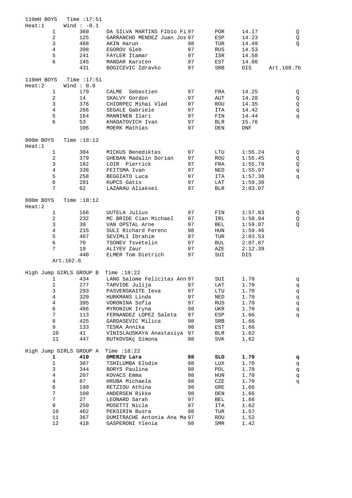| 110mH BOYS |                | Time $:17:51$           |                              |    |              |         |            |
|------------|----------------|-------------------------|------------------------------|----|--------------|---------|------------|
| Heat:1     |                | Wind $: -0.1$           |                              |    |              |         |            |
|            | $\mathbf{1}$   | 360                     | DA SILVA MARTINS F‡bio Fi 97 |    | <b>POR</b>   | 14.17   | Q          |
|            | 2              | 125                     | GARRANCHO MENDEZ Juan Jos 97 |    | ESP          | 14.23   | Q          |
|            | 3              | 468                     | AKIN Harun                   | 98 | TUR          | 14.49   | Q          |
|            | 4              | 398                     | EGOROV Gleb                  | 97 | <b>RUS</b>   | 14.53   |            |
|            | 5              | 241                     | FAYLER Itamar                | 97 | ISR          | 14.58   |            |
|            |                |                         |                              |    |              |         |            |
|            | 6              | 145                     | MANDAR Karsten               | 97 | EST          | 14.86   |            |
|            |                | 431                     | BOGICEVIC Zdravko            | 97 | SRB          | DIS     | Art.168.7b |
| 110mH BOYS |                | Time $:17:51$           |                              |    |              |         |            |
| Heat:2     |                | Wind : $0.8$            |                              |    |              |         |            |
|            | 1              | 179                     | CALME<br>Sebastien           | 97 | FRA          | 14.25   |            |
|            |                |                         |                              |    |              |         | Q          |
|            | 2              | 14                      | SKALVY Gordon                | 97 | AUT          | 14.28   | Q          |
|            | 3              | 376                     | CHIORPEC Mihai Vlad          | 97 | ROU          | 14.35   | Q          |
|            | 4              | 266                     | SEGALE Gabriele              | 97 | ITA          | 14.42   | đ          |
|            | 5              | 164                     | MANNINEN Ilari               | 97 | FIN          | 14.44   | đ          |
|            | 6              | 53                      | KHADATOVICH Ivan             | 97 | <b>BLR</b>   | 15.76   |            |
|            |                | 106                     | MOERK Mathias                | 97 | DEN          | DNF     |            |
| 800m BOYS  |                | Time $:18:12$           |                              |    |              |         |            |
| Heat:1     |                |                         |                              |    |              |         |            |
|            | $\mathbf{1}$   | 304                     | MICKUS Benediktas            | 97 | LTU          | 1:55.24 | Q          |
|            | 2              | 379                     | GHEBAN Madalin Dorian        | 97 | ROU          | 1:55.45 | Q          |
|            | 3              | 182                     | LOIR Pierrick                | 97 | FRA          | 1:55.79 | Q          |
|            | 4              | 338                     | FEITSMA Ivan                 | 97 | NED          | 1:55.97 | đ          |
|            | 5              | 258                     | BEGGIATO Luca                | 97 | ITA          | 1:57.38 | đ          |
|            | 6              | 281                     | KUPCS Gatis                  | 97 | LAT          | 1:59.30 |            |
|            | 7              | 62                      | LAZARAU Aliaksei             | 97 | <b>BLR</b>   | 2:03.07 |            |
| 800m BOYS  |                | Time $:18:12$           |                              |    |              |         |            |
| Heat:2     |                |                         |                              |    |              |         |            |
|            | $\mathbf{1}$   | 166                     | UUTELA Julius                | 97 | FIN          | 1:57.83 | Q          |
|            | 2              | 232                     | MC BRIDE Cian Michael        | 97 | IRL          | 1:58.94 | Q          |
|            | 3              | 39                      | VAN OPSTAL Arne              | 97 | BEL          | 1:59.07 | Q          |
|            | $\overline{4}$ | 215                     | SULI Richard Ferenc          |    |              |         |            |
|            |                |                         |                              | 98 | HUN          | 1:59.46 |            |
|            | 5              | 467                     | SEVIMLI Ibrahim              | 97 | TUR          | 2:03.53 |            |
|            | 6              | 70                      | TSONEV Tsvetelin             | 97 | <b>BUL</b>   | 2:07.87 |            |
|            | 7              | 19                      | ALIYEV Zaur                  | 97 | AZE          | 2:12.39 |            |
|            |                | 440                     | ELMER Tom Dietrich           | 97 | SUI          | DIS     |            |
|            |                | Art.162.6               |                              |    |              |         |            |
|            |                | High Jump GIRLS GROUP B | Time $:18:22$                |    |              |         |            |
|            | 1              | 434                     | LANG Salome Felicitas Ann 97 |    | SUI          | 1.70    | đ          |
|            | 1              | 277                     | TARVIDE Julija               | 97 | LAT          | 1.70    | q          |
|            | 3              | 293                     | PASVENSKAITE Ieva            | 97 | $_{\rm LTU}$ | 1.70    | đ          |
|            | 4              | 320                     | HURKMANS Linda               | 97 | $\rm NED$    | 1.70    | đ          |
|            | 4              | 395                     | VORONINA Sofia               | 97 | RUS          | 1.70    | đ          |
|            | 6              | 486                     | MYRONIUK Iryna               | 98 | UKR          | 1.70    |            |
|            | 7              | 113                     | FERNANDEZ LOPEZ Saleta       | 97 |              | 1.66    | đ          |
|            |                |                         |                              |    | ESP          |         | đ          |
|            | 8              | 425                     | GARDASEVIC Milica            | 98 | SRB          | 1.66    |            |
|            | 9              | 133                     | TESKA Annika                 | 98 | EST          | 1.66    |            |
|            | 10             | 41                      | VINISLAUSKAYA Anastasiya 97  |    | BLR          | 1.62    |            |
|            | 11             | 447                     | BUTKOVSKç Simona             | 98 | SVK          | 1.62    |            |
|            |                | High Jump GIRLS GROUP A | Time $:18:22$                |    |              |         |            |
|            | 1              | 410                     | OMERZU Lara                  | 98 | SLO          | 1.70    | q          |
|            | $\mathbf 1$    | 307                     | TSHILUMBA Elodie             | 98 | LUX          | 1.70    | đ          |
|            | 3              | 344                     | BORYS Paulina                | 98 | POL          | 1.70    | đ          |
|            | 4              | 207                     | KOVACS Emma                  | 98 | HUN          | 1.70    | đ          |
|            | 4              | 87                      | HRUBA Michaela               | 98 | CZE          | 1.70    | đ          |
|            | б              | 199                     | RETZIOU Athina               | 98 | ${\tt GRE}$  | 1.66    |            |
|            | 7              | 100                     | ANDERSEN Rikke               | 98 | DEN          | 1.66    |            |
|            | 7              | 27                      | LEONARD Sarah                | 97 |              |         |            |
|            |                |                         |                              |    | BEL          | 1.66    |            |
|            | 9              | 250                     | MOSETTI Nicla                | 97 | ITA          | 1.62    |            |
|            | 10             | 462                     | PEKSIRIN Busra               | 98 | TUR          | 1.57    |            |
|            | 11             | 367                     | DUMITRACHE Antonia Ana Ma 97 |    | ROU          | 1.52    |            |
|            | 12             | 418                     | GASPERONI Ylenia             | 98 | SMR          | 1.42    |            |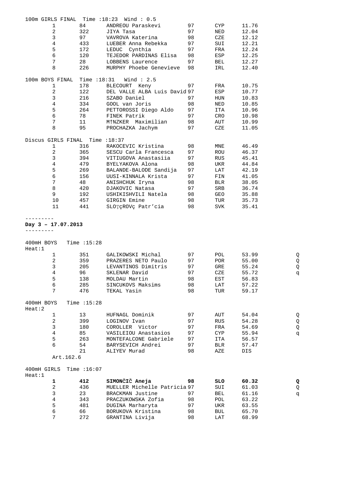|             |                                      |               | 100m GIRLS FINAL Time : 18:23 Wind : 0.5 |          |            |                |   |
|-------------|--------------------------------------|---------------|------------------------------------------|----------|------------|----------------|---|
|             | 1                                    | 84            | ANDREOU Paraskevi                        | 97       | CYP        | 11.76          |   |
|             | $\overline{c}$                       | 322           | JIYA Tasa                                | 97       | NED        | 12.04          |   |
|             | 3                                    | 97            |                                          | 98       | CZE        | 12.12          |   |
|             |                                      |               | VAVROVA Katerina                         |          |            |                |   |
|             | $\overline{4}$                       | 433           | LUEBER Anna Rebekka                      | 97       | SUI        | 12.21          |   |
|             | 5                                    | 172           | LEDUC Cynthia                            | 97       | FRA        | 12.24          |   |
|             | 6                                    | 120           | TEJEDOR PARDINAS Elisa                   | 98       | ESP        | 12.25          |   |
|             | 7                                    | 28            | LOBBENS Laurence                         | 97       | BEL        | 12.27          |   |
|             | 8                                    | 226           | MURPHY Phoebe Genevieve                  | 98       | IRL        | 12.40          |   |
|             |                                      |               |                                          |          |            |                |   |
|             | 100m BOYS FINAL Time : 18:31         |               | Wind $: 2.5$                             |          |            |                |   |
|             | 1                                    | 178           | BLECOURT Keny                            | 97       | FRA        | 10.75          |   |
|             | $\overline{c}$                       | 122           | DEL VALLE ALBA Luis David 97             |          | ESP        | 10.77          |   |
|             | 3                                    | 216           | SZABO Daniel                             | 97       | HUN        | 10.83          |   |
|             | $\overline{4}$                       | 334           | GOOL van Joris                           | 98       | NED        | 10.85          |   |
|             | 5                                    | 264           | PETTOROSSI Diego Aldo                    | 97       | ITA        | 10.96          |   |
|             | 6                                    | 78            | FINEK Patrik                             | 97       | CRO        | 10.98          |   |
|             | 7                                    | 11            | M†NZKER Maximilian                       | 98       | AUT        | 10.99          |   |
|             | 8                                    | 95            | PROCHAZKA Jachym                         | 97       | CZE        | 11.05          |   |
|             |                                      |               |                                          |          |            |                |   |
|             | Discus GIRLS FINAL Time : 18:37<br>1 | 316           | RAKOCEVIC Kristina                       | 98       | MNE        | 46.49          |   |
|             | $\overline{c}$                       | 365           | SESCU Carla Francesca                    | 97       | ROU        | 46.37          |   |
|             |                                      |               |                                          |          |            |                |   |
|             | $\mathsf{3}$                         | 394           | VITIUGOVA Anastasiia                     | 97       | RUS        | 45.41          |   |
|             | $\,4$                                | 479           | BYELYAKOVA Alona                         | 98       | UKR        | 44.84          |   |
|             | 5                                    | 269           | BALANDE-BALODE Sandija                   | 97       | LAT        | 42.19          |   |
|             | 6                                    | 156           | UUSI-KINNALA Krista                      | 97       | FIN        | 41.05          |   |
|             | $7\phantom{.}$                       | 48            | ANISHCHUK Iryna                          | 98       | BLR        | 38.05          |   |
|             | 8                                    | 420           | DJAKOVIC Natasa                          | 97       | SRB        | 36.74          |   |
|             | 9                                    | 192           | USHIKISHVILI Natela                      | 98       | GEO        | 35.88          |   |
|             | 10                                   | 457           | GIRGIN Emine                             | 98       | TUR        | 35.73          |   |
|             | 11                                   | 441           | SLOTÇROVÇ Patr'cia                       | 98       | SVK        | 35.41          |   |
|             |                                      |               |                                          |          |            |                |   |
|             | Day 3 - 17.07.2013                   |               |                                          |          |            |                |   |
|             |                                      |               |                                          |          |            |                |   |
| 400mH BOYS  |                                      | Time $:15:28$ |                                          |          |            |                |   |
| Heat:1      |                                      |               |                                          |          |            |                |   |
|             | $\mathbf{1}$                         | 351           | GALIKOWSKI Michal                        | 97       | POL        | 53.99          | Q |
|             | 2                                    | 359           | PRAZERES NETO Paulo                      | 97       | POR        | 55.00          | Q |
|             | $\mathsf{3}$                         | 205           | LEVANTINOS Dimitris                      | 97       | GRE        | 55.24          | Q |
|             | 4                                    | 96            | SKLENAR David                            | 97       | CZE        | 55.72          | đ |
|             | 5                                    | 138           | MOLDAU Martin                            | 98       |            | 56.83          |   |
|             |                                      |               |                                          |          | EST        |                |   |
|             |                                      |               |                                          |          |            |                |   |
|             | 6<br>7                               | 285<br>476    | SINCUKOVS Maksims<br>TEKAL Yasin         | 98<br>98 | LAT<br>TUR | 57.22<br>59.17 |   |
| 400mH BOYS  |                                      | Time $:15:28$ |                                          |          |            |                |   |
| Heat:2      |                                      |               |                                          |          |            |                |   |
|             | 1                                    | 13            | HUFNAGL Dominik                          | 97       | AUT        | 54.04          | Q |
|             | $\overline{a}$                       | 399           | LOGINOV Ivan                             | 97       | RUS        | 54.28          | Q |
|             | 3                                    | 180           | COROLLER Victor                          | 97       | FRA        | 54.69          | Q |
|             | $\bf 4$                              | 85            | VASILEIOU Anastasios                     | 97       | <b>CYP</b> | 55.94          | đ |
|             | 5                                    | 263           | MONTEFALCONE Gabriele                    | 97       | ITA        | 56.57          |   |
|             | 6                                    | 54            | BARYSEVICH Andrei                        | 97       | <b>BLR</b> | 57.47          |   |
|             |                                      |               |                                          |          |            |                |   |
|             | Art.162.6                            | 21            | ALIYEV Murad                             | 98       | AZE        | DIS            |   |
| 400mH GIRLS |                                      | Time $:16:07$ |                                          |          |            |                |   |
| Heat:1      |                                      |               |                                          |          |            |                |   |
|             | 1                                    | 412           | SIMONČIČ Aneja                           | 98       | SLO        | 60.32          | Q |
|             | $\overline{c}$                       | 436           | MUELLER Michelle Patricia 97             |          | SUI        | 61.03          | Q |
|             | $\mathsf{3}$                         | 23            | BRACKMAN Justine                         | 97       | BEL        | 61.16          | q |
|             | $\overline{4}$                       | 343           | PRACZUKOWSKA Zofia                       | 98       | POL        | 63.22          |   |
|             | 5                                    | 481           | DUGINA Marharyta                         | 97       | UKR        | 63.55          |   |
|             | $\epsilon$<br>7                      | 66            | BORUKOVA Kristina                        | 98       | BUL        | 65.70          |   |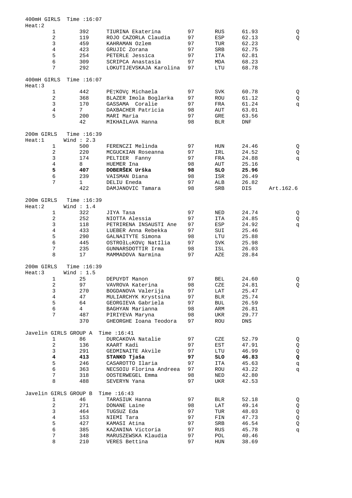| 400mH GIRLS<br>Heat:2 |                    | Time $:16:07$                 |                         |    |              |            |             |
|-----------------------|--------------------|-------------------------------|-------------------------|----|--------------|------------|-------------|
|                       | $\mathbf{1}$       | 392                           | TIURINA Ekaterina       | 97 | <b>RUS</b>   | 61.93      |             |
|                       | 2                  | 119                           | ROJO CAZORLA Claudia    | 97 |              | 62.13      | Q           |
|                       |                    |                               |                         |    | ESP          |            | Q           |
|                       | 3                  | 459                           | KAHRAMAN Ozlem          | 97 | TUR          | 62.23      |             |
|                       | $\overline{4}$     | 423                           | GRUJIC Zorana           | 97 | SRB          | 62.75      |             |
|                       | 5                  | 254                           | PETERLE Jessica         | 97 | ITA          | 62.81      |             |
|                       | 6                  | 309                           | SCRIPCA Anastasia       | 97 | MDA          | 68.23      |             |
|                       | 7                  | 292                           | LOKUTIJEVSKAJA Karolina | 97 | LTU          | 68.78      |             |
| 400mH GIRLS<br>Heat:3 |                    | Time $:16:07$                 |                         |    |              |            |             |
|                       | 1                  | 442                           | PEȚKOVÇ Michaela        | 97 | SVK          | 60.78      | Q           |
|                       | 2                  | 368                           | BLAZER Imola Boglarka   | 97 | ROU          | 61.12      | Q           |
|                       | $\mathbf{3}$       | 170                           | GASSAMA Coralie         | 97 | FRA          | 61.24      | đ           |
|                       | 4                  | 7                             | DAXBACHER Patricia      | 98 | AUT          | 63.01      |             |
|                       | 5                  | 200                           | MARI Maria              | 97 | GRE          | 63.56      |             |
|                       |                    | 42                            | MIKHAILAVA Hanna        | 98 | <b>BLR</b>   | <b>DNF</b> |             |
|                       |                    |                               |                         |    |              |            |             |
| 200m GIRLS<br>Heat:1  |                    | Time : 16:39<br>Wind $: 2.3$  |                         |    |              |            |             |
|                       | $\mathbf{1}$       | 500                           | FERENCZI Melinda        | 97 | HUN          | 24.46      | Q           |
|                       | $\mathbf{2}$       | 220                           | MCGUCKIAN Roseanna      | 97 | IRL          | 24.52      | Q           |
|                       | 3                  | 174                           | PELTIER Fanny           | 97 | FRA          | 24.88      | đ           |
|                       | $\overline{4}$     | 8                             | HUEMER Ina              | 98 | AUT          | 25.16      |             |
|                       | 5                  | 407                           | DOBERŠEK Urška          | 98 | SLO          | 25.96      |             |
|                       | 6                  | 239                           | VAISMAN Diana           | 98 | ISR          | 26.49      |             |
|                       | 7                  | $\mathbf{1}$                  | DELIU Eneda             | 97 | ALB          | 26.82      |             |
|                       |                    | 422                           | DAMJANOVIC Tamara       | 98 | SRB          |            | Art.162.6   |
|                       |                    |                               |                         |    |              | DIS        |             |
| 200m GIRLS            |                    | Time $:16:39$                 |                         |    |              |            |             |
| Heat:2                |                    | Wind $: 1.4$                  |                         |    |              |            |             |
|                       | $\mathbf{1}$       | 322                           | JIYA Tasa               | 97 | NED          | 24.74      | Q           |
|                       | 2                  | 252                           | NIOTTA Alessia          | 97 | ITA          | 24.85      | Q           |
|                       | 3                  | 118                           | PETRIRENA INSAUSTI Ane  | 97 | ESP          | 24.92      | q           |
|                       | $\overline{4}$     | 433                           | LUEBER Anna Rebekka     | 97 | SUI          | 25.46      |             |
|                       | 5                  | 290                           | GALNAITYTE Simona       | 98 | LTU          | 25.88      |             |
|                       | 6                  | 445                           | OSTROłLęKOVç Nat‡lia    | 97 | <b>SVK</b>   | 25.98      |             |
|                       | 7                  | 235                           | GUNNARSDOTTIR Irma      | 98 | ISL          | 26.03      |             |
|                       | 8                  | 17                            | MAMMADOVA Narmina       | 97 | AZE          | 28.84      |             |
|                       |                    |                               |                         |    |              |            |             |
| 200m GIRLS<br>Heat:3  |                    | Time $:16:39$<br>Wind $: 1.5$ |                         |    |              |            |             |
|                       | 1                  | 25                            | DEPUYDT Manon           | 97 | <b>BEL</b>   | 24.60      | Q           |
|                       | 2                  | 97                            | VAVROVA Katerina        | 98 | CZE          | 24.81      | Q           |
|                       | 3                  | 270                           | BOGDANOVA Valerija      | 97 | LAT          | 25.47      |             |
|                       | $\,4$              | 47                            | MULIARCHYK Krystsina    | 97 | <b>BLR</b>   | 25.74      |             |
|                       | 5                  | 64                            | GEORGIEVA Gabriela      | 97 | BUL          | 26.59      |             |
|                       | $\sqrt{6}$         | $\overline{4}$                | BAGHYAN Marianna        | 98 | ARM          | 26.81      |             |
|                       | 7                  | 487                           | PIRIYEVA Maryna         | 98 | UKR          | 29.77      |             |
|                       |                    | 370                           | GHEORGHE Ioana Teodora  | 97 | ROU          | DNS        |             |
|                       |                    |                               |                         |    |              |            |             |
|                       |                    | Javelin GIRLS GROUP A         | Time $:16:41$           |    |              |            |             |
|                       | 1                  | 86                            | DURCAKOVA Natalie       | 97 | CZE          | 52.79      | Q           |
|                       | $\overline{c}$     | 136                           | KAART Kadi              | 97 | EST          | 47.91      | Q           |
|                       | 3                  | 291                           | GEDMINAITE Akvile       | 97 | $_{\rm LTU}$ | 46.99      | $\mathsf Q$ |
|                       | $\overline{\bf 4}$ | 413                           | STANKO Tjaša            | 97 | SLO          | 46.83      | Q           |
|                       | 5                  | 246                           | CASAROTTO Ilaria        | 97 | ITA          | 45.63      | q           |
|                       | $\epsilon$         | 363                           | NECSOIU Florina Andreea | 97 | ROU          | 43.22      | q           |
|                       | 7                  | 318                           | OOSTERWEGEL Emma        | 98 | NED          | 42.80      |             |
|                       | 8                  | 488                           | SEVERYN Yana            | 97 | UKR          | 42.53      |             |
|                       |                    | Javelin GIRLS GROUP B         | Time $:16:43$           |    |              |            |             |
|                       | 1                  | 46                            | TARASIUK Hanna          | 97 | BLR          | 52.18      |             |
|                       |                    |                               |                         |    |              |            | Q           |
|                       | $\sqrt{2}$         | 271                           | DONANE Laine            | 98 | LAT          | 49.14      | Q           |
|                       | 3                  | 464                           | TUGSUZ Eda              | 97 | TUR          | 48.03      | $\mathsf Q$ |
|                       | $\,4$              | 153                           | NIEMI Tara              | 97 | FIN          | 47.73      | $\mathsf Q$ |
|                       | 5                  | 427                           | KAMASI Atina            | 97 | SRB          | 46.54      | Q           |
|                       | $\epsilon$         | 385                           | KAZANINA Victoria       | 97 | <b>RUS</b>   | 45.78      | đ           |
|                       | $7\phantom{.}$     | 348                           | MARUSZEWSKA Klaudia     | 97 | POL          | 40.46      |             |
|                       | 8                  | 210                           | VERES Bettina           | 97 | ${\rm HUN}$  | 38.69      |             |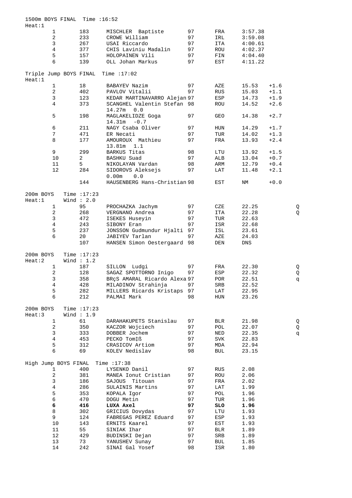| 1500m BOYS FINAL Time : 16:52<br>Heat:1 |                |                |                                              |    |            |         |        |   |
|-----------------------------------------|----------------|----------------|----------------------------------------------|----|------------|---------|--------|---|
|                                         | $\mathbf{1}$   | 183            | MISCHLER<br>Baptiste                         | 97 | FRA        | 3:57.38 |        |   |
|                                         | $\sqrt{2}$     | 233            | CROWE William                                | 97 | IRL        | 3:59.08 |        |   |
|                                         | 3              | 267            | USAI Riccardo                                | 97 | <b>ITA</b> | 4:00.61 |        |   |
|                                         | $\overline{4}$ | 377            | CHIS Laviniu Madalin                         | 97 | ROU        | 4:02.37 |        |   |
|                                         | 5              | 157            | HOLOPAINEN Vili                              | 97 | FIN        | 4:04.40 |        |   |
|                                         | б              | 139            | OLL Johan Markus                             | 97 | EST        | 4:11.22 |        |   |
|                                         |                |                |                                              |    |            |         |        |   |
| Heat:1                                  |                |                | Triple Jump BOYS FINAL Time : 17:02          |    |            |         |        |   |
|                                         | $\mathbf{1}$   | 18             | BABAYEV Nazim                                | 97 | AZE        | 15.53   | $+1.6$ |   |
|                                         | $\sqrt{2}$     | 402            | PAVLOV Vitalii                               | 97 | <b>RUS</b> | 15.03   | $+1.1$ |   |
|                                         | 3              | 123            | KEDAR MARTINAVARRO Alejan 97                 |    | ESP        | 14.73   | $+1.9$ |   |
|                                         | $\overline{4}$ | 373            | SCANGHEL Valentin Stefan 98<br>14.27m<br>0.0 |    | ROU        | 14.52   | $+2.6$ |   |
|                                         | 5              | 198            | MAGLAKELIDZE Goga<br>$-0.7$<br>14.31m        | 97 | GEO        | 14.38   | $+2.7$ |   |
|                                         | 6              | 211            | NAGY Csaba Oliver                            | 97 | HUN        | 14.29   | $+1.7$ |   |
|                                         | $\sqrt{ }$     | 471            | ER Necati                                    | 97 | TUR        | 14.02   | $+1.3$ |   |
|                                         | 8              | 177            | AMOUROUX Mathieu                             | 97 | FRA        | 13.93   | $+2.4$ |   |
|                                         |                |                | 13.81m<br>1.1                                |    |            |         |        |   |
|                                         | 9              | 299            | <b>BARKUS</b> Titas                          | 98 | LTU        | 13.92   | $+1.5$ |   |
|                                         | 10             | $\overline{2}$ | BASHKU Suad                                  | 97 | ALB        | 13.04   | $+0.7$ |   |
|                                         | 11             | 5              | NIKOLAYAN Vardan                             | 98 | ARM        | 12.79   | $+0.4$ |   |
|                                         | 12             | 284            | SIDOROVS Aleksejs                            | 97 | LAT        | 11.48   | $+2.1$ |   |
|                                         |                | 144            | 0.0<br>0.00m<br>HAUSENBERG Hans-Christian 98 |    | EST        | ΝM      | $+0.0$ |   |
| 200m BOYS                               |                | Time $:17:23$  |                                              |    |            |         |        |   |
|                                         |                |                |                                              |    |            |         |        |   |
| Heat:1                                  |                | Wind $: 2.0$   |                                              |    |            |         |        |   |
|                                         | $\mathbf{1}$   | 95             | PROCHAZKA Jachym                             | 97 | CZE        | 22.25   |        | Q |
|                                         | $\sqrt{2}$     | 268            | VERGNANO Andrea                              | 97 | ITA        | 22.28   |        | Q |
|                                         | 3              | 472            | ISEKES Huseyin                               | 97 | TUR        | 22.63   |        |   |
|                                         | 4              | 243            | SIBONY Eran                                  | 97 | ISR        | 22.68   |        |   |
|                                         | 5              | 237            | JONSSON Gudmundur Hjalti 97                  |    | ISL        | 23.61   |        |   |
|                                         | 6              | 20             | JABIYEV Tarlan                               | 97 | AZE        | 24.03   |        |   |
|                                         |                | 107            | HANSEN Simon Oestergaard 98                  |    | DEN        | DNS     |        |   |
| 200m BOYS                               |                | Time $:17:23$  |                                              |    |            |         |        |   |
| Heat:2                                  |                | Wind $: 1.2$   |                                              |    |            |         |        |   |
|                                         | $\mathbf{1}$   | 187            | SILLON Ludgi                                 | 97 | FRA        | 22.30   |        | Q |
|                                         | 2              | 128            | SAGAZ SPOTTORNO Inigo                        | 97 | ESP        | 22.32   |        | Q |
|                                         | 3              | 358            | BRÇS AMARAL Ricardo Alexa 97                 |    | POR        | 22.51   |        | p |
|                                         | 4              | 428            | MILADINOV Strahinja                          | 97 | SRB        | 22.52   |        |   |
|                                         | 5              | 282            | MILLERS Ricards Kristaps                     | 97 | LAT        | 22.95   |        |   |
|                                         | 6              | 212            | PALMAI Mark                                  | 98 | HUN        | 23.26   |        |   |
|                                         |                |                |                                              |    |            |         |        |   |
| 200m BOYS                               |                | Time $:17:23$  |                                              |    |            |         |        |   |
| Heat:3                                  |                | Wind $: 1.9$   |                                              |    |            |         |        |   |
|                                         | $\mathbf{1}$   | 61             | DARAHAKUPETS Stanislau                       | 97 | BLR        | 21.98   |        | Q |
|                                         | 2              | 350            | KACZOR Wojciech                              | 97 | POL        | 22.07   |        | Q |
|                                         | $\mathsf{3}$   | 333            | DOBBER Jochem                                | 97 | NED        | 22.35   |        | đ |
|                                         | $\bf 4$        | 453            | PECKO Tom‡ß                                  | 97 | SVK        | 22.83   |        |   |
|                                         | 5              | 312            | CRASICOV Artiom                              | 97 | MDA        | 22.94   |        |   |
|                                         | 6              | 69             | KOLEV Nedislav                               | 98 | BUL        | 23.15   |        |   |
| High Jump BOYS FINAL                    |                |                | Time $:17:38$                                |    |            |         |        |   |
|                                         | 1              | 400            | LYSENKO Danil                                | 97 | RUS        | 2.08    |        |   |
|                                         | $\overline{c}$ | 381            | MANEA Ionut Cristian                         | 97 | ROU        | 2.06    |        |   |
|                                         | 3              | 186            | SAJOUS Titouan                               | 97 | FRA        | 2.02    |        |   |
|                                         | 4              | 286            | SULAINIS Martins                             | 97 | LAT        | 1.99    |        |   |
|                                         | 5              | 353            | KOPALA Igor                                  | 97 | POL        | 1.96    |        |   |
|                                         | $\epsilon$     | 470            | DOGU Metin                                   | 97 | TUR        | 1.96    |        |   |
|                                         | 6              | 416            | LUXA Axel                                    | 97 | SLO        | 1.96    |        |   |
|                                         |                |                |                                              |    |            |         |        |   |
|                                         | 8              | 302            | GRICIUS Dovydas                              | 97 | LTU        | 1.93    |        |   |
|                                         | 9              | 124            | FABREGAS PEREZ Eduard                        | 97 | ESP        | 1.93    |        |   |
|                                         | 10             | 143            | ERNITS Kaarel                                | 97 | EST        | 1.93    |        |   |
|                                         | 11             | 55             | SINIAK Ihar                                  | 97 | <b>BLR</b> | 1.89    |        |   |
|                                         | 12             | 429            | BUDINSKI Dejan                               | 97 | SRB        | 1.89    |        |   |
|                                         | 13             | 73             | YANUSHEV Sunay                               | 97 | <b>BUL</b> | 1.85    |        |   |
|                                         | 14             | 242            | SINAI Gal Yosef                              | 98 | ISR        | 1.80    |        |   |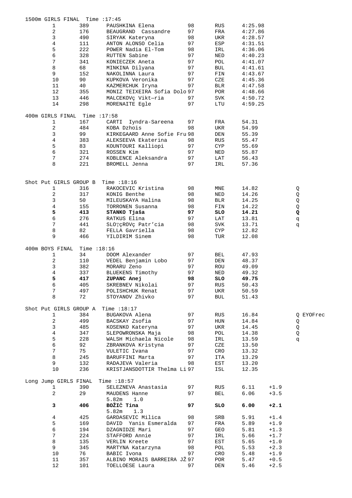| 1500m GIRLS FINAL Time : 17:45 |               |                              |    |            |         |        |           |
|--------------------------------|---------------|------------------------------|----|------------|---------|--------|-----------|
| 1                              | 389           | PAUSHKINA Elena              | 98 | RUS        | 4:25.98 |        |           |
| 2                              | 176           | BEAUGRAND Cassandre          | 97 | FRA        | 4:27.86 |        |           |
| 3                              | 490           | SIRYAK Kateryna              | 98 | UKR        | 4:28.57 |        |           |
| 4                              | 111           | ANTON ALONSO Celia           | 97 | ESP        | 4:31.51 |        |           |
| 5                              | 222           | POWER Nadia El-Tom           | 98 | IRL        | 4:36.06 |        |           |
| б                              | 328           | RUTTEN Sabine                | 97 | NED        | 4:40.23 |        |           |
| 7                              | 341           | KONIECZEK Aneta              | 97 | POL        | 4:41.07 |        |           |
| 8                              | 68            | MINKINA Dilyana              | 97 | BUL        | 4:41.61 |        |           |
| 9                              | 152           | NAKOLINNA Laura              | 97 | FIN        | 4:43.67 |        |           |
| 10                             | 90            | KUPKOVA Veronika             | 97 | CZE        | 4:45.36 |        |           |
| 11                             | 40            | KAZMERCHUK Iryna             | 97 | BLR        | 4:47.58 |        |           |
| 12                             | 355           | MONIZ TEIXEIRA Sofia Dolo 97 |    | POR        | 4:48.66 |        |           |
| 13                             | 446           | MALCEKOVÇ Vikt-ria           | 97 | SVK        | 4:50.72 |        |           |
| 14                             | 298           | MORENAITE Egle               | 97 | LTU        | 4:59.25 |        |           |
| 400m GIRLS FINAL               | Time :17:58   |                              |    |            |         |        |           |
| 1                              | 167           | CARTI<br>Iyndra-Sareena      | 97 | FRA        | 54.31   |        |           |
| 2                              | 484           | KOBA Dzhois                  | 98 | UKR        | 54.99   |        |           |
| 3                              | 99            | KIRKEGAARD Anne Sofie Fru 98 |    | DEN        | 55.39   |        |           |
| 4                              | 383           | ALEKSEEVA Ekaterina          | 98 | RUS        | 55.47   |        |           |
| 5                              | 83            | KOUNTOURI Kalliopi           | 97 | CYP        | 55.69   |        |           |
| б                              | 321           | ROSSEN Kim                   | 97 | NED        | 55.87   |        |           |
| 7                              | 274           | KOBLENCE Aleksandra          | 97 | LAT        | 56.43   |        |           |
| 8                              | 221           | BROMELL Jenna                | 97 | IRL        | 57.36   |        |           |
|                                |               |                              |    |            |         |        |           |
| Shot Put GIRLS GROUP B         |               | Time $:18:16$                |    |            |         |        |           |
| 1                              | 316           | RAKOCEVIC Kristina           | 98 | MNE        | 14.82   |        | Q         |
| 2                              | 317           | KONIG Benthe                 | 98 | NED        | 14.26   |        | Q         |
| 3                              | 50            | MILEUSKAYA Halina            | 98 | BLR        | 14.25   |        | Q         |
| 4                              | 155           | TORRONEN Susanna             | 98 | FIN        | 14.22   |        | Q         |
| 5                              | 413           | STANKO Tjaša                 | 97 | SLO        | 14.21   |        | Q         |
| б                              | 276           | RATKUS Elina                 | 97 | LAT        | 13.81   |        | p         |
| 7                              | 441           | SLOTÇROVÇ Patr'cia           | 98 | SVK        | 13.71   |        | đ         |
| 8                              | 82            | FELLA Gavriella              | 98 | CYP        | 12.82   |        |           |
| 9                              | 466           | YILDIRIM Sinem               | 98 | TUR        | 12.08   |        |           |
|                                |               |                              |    |            |         |        |           |
| 400m BOYS FINAL                | Time $:18:16$ |                              |    |            |         |        |           |
| 1                              | 34            | DOOM Alexander               | 97 | BEL        | 47.93   |        |           |
| 2                              | 110           | VEDEL Benjamin Lobo          | 97 | DEN        | 48.37   |        |           |
| 3                              | 382           | MORARU Zeno                  | 97 | ROU        | 49.09   |        |           |
| 4                              | 337           | BLUEKENS Timothy             | 97 | NED        | 49.32   |        |           |
| 5                              | 417           | ZUPANC Anej                  | 98 | SLO        | 49.75   |        |           |
| 6                              | 405           | SKREBNEV Nikolai             | 97 | <b>RUS</b> | 50.43   |        |           |
| 7                              | 497           | POLISHCHUK Renat             | 97 | UKR        | 50.59   |        |           |
| 8                              | 72            | STOYANOV Zhivko              | 97 | <b>BUL</b> | 51.43   |        |           |
| Shot Put GIRLS GROUP A         |               | Time $:18:17$                |    |            |         |        |           |
| 1                              | 384           | BUGAKOVA Alena               | 97 | RUS        | 16.84   |        | Q EYOFrec |
| 2                              | 499           | BACSKAY Zsofia               | 97 | HUN        | 14.84   |        | Q         |
| 3                              | 485           | KOSENKO Kateryna             | 97 | UKR        | 14.45   |        | Q         |
| 4                              | 347           | SLEPOWRONSKA Maja            | 98 | POL        | 14.38   |        | Q         |
| 5                              | 228           | WALSH Michaela Nicole        | 98 | IRL        | 13.59   |        | đ         |
| б                              | 92            | ZBRANKOVA Kristyna           | 97 | CZE        | 13.50   |        |           |
| 7                              | 75            | VULETIC Ivana                | 97 | CRO        | 13.32   |        |           |
| 8                              | 245           | BARUFFINI Marta              | 97 | ITA        | 13.29   |        |           |
| 9                              | 132           | RADAJEVA Valeria             | 98 | EST        | 13.20   |        |           |
| 10                             | 236           | KRISTJANSDOTTIR Thelma Li 97 |    | ISL        | 12.35   |        |           |
| Long Jump GIRLS FINAL          |               | Time $:18:57$                |    |            |         |        |           |
| 1                              | 390           | SELEZNEVA Anastasia          | 97 | RUS        | 6.11    | $+1.9$ |           |
| 2                              | 29            | MAUDENS Hanne                | 97 | <b>BEL</b> | 6.06    | $+3.5$ |           |
|                                |               | 5.82m<br>1.0                 |    |            |         |        |           |
|                                |               | BOŽIČ Tina                   |    |            |         |        |           |
| 3                              | 406           | 5.82m<br>1.3                 | 97 | SLO        | 6.00    | $+2.1$ |           |
| 4                              | 425           | GARDASEVIC Milica            | 98 | SRB        | 5.91    | $+1.4$ |           |
| 5                              | 169           | DAVID Yanis Esmeralda        | 97 | FRA        | 5.89    | $+1.9$ |           |
| б                              | 194           | DZAGNIDZE Mari               | 97 | GEO        | 5.81    | $+1.3$ |           |
| 7                              | 224           | STAFFORD Annie               | 97 | IRL        | 5.66    | $+1.7$ |           |
| 8                              | 135           | VERLIN Kreete                | 97 | EST        | 5.65    | $+1.0$ |           |
| 9                              | 345           | MARTYNA Katarzyna            | 98 | POL        | 5.53    | $+2.3$ |           |
| 10                             | 76            | BABIC Ivona                  | 97 | CRO        | 5.48    | $+1.9$ |           |
| 11                             | 357           | ALBINO MORAIS BARREIRA JŽ 97 |    | POR        | 5.47    | $+0.5$ |           |
|                                |               |                              |    |            |         |        |           |
| 12                             | 101           | TOELLOESE Laura              | 97 | DEN        | 5.46    | $+2.5$ |           |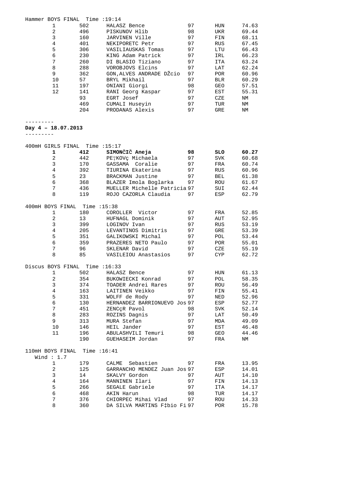| Hammer BOYS FINAL Time : 19:14 |                |               |                                              |          |             |                |
|--------------------------------|----------------|---------------|----------------------------------------------|----------|-------------|----------------|
|                                | 1              | 502           | HALASZ Bence                                 | 97       | HUN         | 74.63          |
|                                | $\overline{a}$ | 496           | PISKUNOV Hlib                                | 98       | UKR         | 69.44          |
|                                | 3              | 160           | JARVINEN Ville                               | 97       | FIN         | 68.11          |
|                                | $\overline{4}$ | 401           | NEKIPORETC Petr                              | 97       | RUS         | 67.45          |
|                                | 5              | 306           | VASILIAUSKAS Tomas                           | 97       | LTU         | 66.43          |
|                                | 6              | 230           | KING Adam Patrick                            | 97       | IRL         | 66.23          |
|                                | $7\phantom{.}$ | 260           | DI BLASIO Tiziano                            | 97       | ITA         | 63.24          |
|                                | 8              | 288           | VOROBJOVS Elcins                             | 97       | LAT         | 62.24          |
|                                | 9              | 362           | GON, ALVES ANDRADE DŽCio                     | 97       | POR         | 60.96          |
|                                | 10             | 57            | BRYL Mikhail                                 | 97       | <b>BLR</b>  | 60.29          |
|                                | 11             | 197           | ONIANI Giorgi                                | 98       | GEO         | 57.51          |
|                                | 12             | 141           | RANI Georg Kaspar                            | 97       | EST         | 55.31          |
|                                |                | 93            | EGRT Josef                                   | 97       | CZE         | ΝM             |
|                                |                | 469<br>204    | CUMALI Huseyin<br>PRODANAS Alexis            | 97<br>97 | TUR<br>GRE  | ΝM<br>ΝM       |
|                                |                |               |                                              |          |             |                |
| Day $4 - 18.07.2013$           |                |               |                                              |          |             |                |
|                                |                |               |                                              |          |             |                |
| 400mH GIRLS FINAL Time : 15:17 |                |               |                                              |          |             |                |
|                                | 1              | 412           | SIMONČIČ Aneja                               | 98       | SLO         | 60.27          |
|                                | 2              | 442           | PETKOV¢ Michaela                             | 97       | SVK         | 60.68          |
|                                | 3              | 170           | GASSAMA Coralie                              | 97       | FRA         | 60.74          |
|                                | 4<br>5         | 392           | TIURINA Ekaterina                            | 97       | RUS         | 60.96          |
|                                | 6              | 23            | BRACKMAN Justine<br>BLAZER Imola Boglarka    | 97<br>97 | <b>BEL</b>  | 61.38<br>61.67 |
|                                | 7              | 368<br>436    | MUELLER Michelle Patricia 97                 |          | ROU<br>SUI  | 62.44          |
|                                | 8              | 119           | ROJO CAZORLA Claudia                         | 97       | ESP         | 62.79          |
|                                |                |               |                                              |          |             |                |
| 400mH BOYS FINAL Time : 15:38  |                |               |                                              |          |             |                |
|                                | 1              | 180           | COROLLER Victor                              | 97       | FRA         | 52.85          |
|                                | 2              | 13            | HUFNAGL Dominik                              | 97       | AUT         | 52.95          |
|                                | 3              | 399           | LOGINOV Ivan                                 | 97       | RUS         | 53.19          |
|                                | 4              | 205           | LEVANTINOS Dimitris                          | 97       | GRE         | 53.39          |
|                                | 5              | 351           | GALIKOWSKI Michal                            | 97       | POL         | 53.44          |
|                                | 6              | 359           | PRAZERES NETO Paulo                          | 97       | POR         | 55.01          |
|                                | 7              | 96            | SKLENAR David                                | 97       | CZE         | 55.19          |
|                                | 8              | 85            | VASILEIOU Anastasios                         | 97       | CYP         | 62.72          |
| Discus BOYS FINAL Time : 16:33 |                |               |                                              |          |             |                |
|                                | 1              | 502           | HALASZ Bence                                 | 97       | HUN         | 61.13          |
|                                | $\overline{2}$ | 354           | BUKOWIECKI Konrad                            | 97       | POL         | 58.35          |
|                                | 3              | 374           | TOADER Andrei Rares                          | 97       | ROU         | 56.49          |
|                                | $\overline{4}$ | 163           | LAITINEN Veikko                              | 97       | ${\tt FIN}$ | 55.41          |
|                                | 5<br>6         | 331           | WOLFF de Rody                                | 97       | NED         | 52.96          |
|                                | $7\phantom{.}$ | 130           | HERNANDEZ BARRIONUEVO Jos 97<br>ZENCCR Pavol | 98       | ESP         | 52.77          |
|                                | 8              | 451           | ROZINS Dagnis                                | 97       | SVK         | 52.14          |
|                                | 9              | 283<br>313    | MURA Stefan                                  | 97       | LAT<br>MDA  | 50.49<br>49.09 |
|                                | 10             | 146           | HEIL Jander                                  | 97       | EST         | 46.48          |
|                                | 11             | 196           | ABULASHVILI Temuri                           | 98       | GEO         | 44.46          |
|                                |                | 190           | GUEHASEIM Jordan                             | 97       | FRA         | ΝM             |
| 110mH BOYS FINAL               |                | Time $:16:41$ |                                              |          |             |                |
|                                | Wind $: 1.7$   |               |                                              |          |             |                |
|                                | 1              | 179           | Sebastien<br>CALME                           | 97       | FRA         | 13.95          |
|                                | 2              | 125           | GARRANCHO MENDEZ Juan Jos 97                 |          | ESP         | 14.01          |
|                                | 3              | 14            | SKALVY Gordon                                | 97       | AUT         | 14.10          |
|                                | 4              | 164           | MANNINEN Ilari                               | 97       | ${\tt FIN}$ | 14.13          |
|                                | 5              | 266           | SEGALE Gabriele                              | 97       | ITA         | 14.17          |
|                                | 6              | 468           | AKIN Harun                                   | 98       | TUR         | 14.17          |
|                                | 7              | 376           | CHIORPEC Mihai Vlad                          | 97       | ROU         | 14.33          |
|                                | 8              | 360           | DA SILVA MARTINS F‡bio Fi 97                 |          | <b>POR</b>  | 15.78          |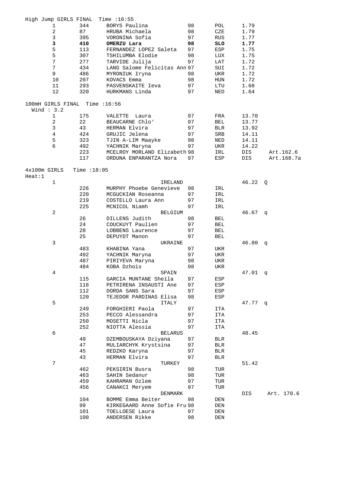| High Jump GIRLS FINAL          |               | Time $:16:55$                |    |            |           |            |
|--------------------------------|---------------|------------------------------|----|------------|-----------|------------|
| 1                              | 344           | BORYS Paulina                | 98 | POL        | 1.79      |            |
| $\overline{a}$                 | 87            | HRUBA Michaela               | 98 | CZE        | 1.79      |            |
| $\mathsf{3}$                   | 395           | VORONINA Sofia               | 97 | <b>RUS</b> | 1.77      |            |
| 3                              | 410           | OMERZU Lara                  | 98 | SLO        | 1.77      |            |
| 5                              | 113           | FERNANDEZ LOPEZ Saleta       | 97 | ESP        | 1.75      |            |
| 5                              | 307           | TSHILUMBA Elodie             | 98 | LUX        | 1.75      |            |
| $7\phantom{.}$                 | 277           | TARVIDE Julija               | 97 | LAT        | 1.72      |            |
| 7                              | 434           | LANG Salome Felicitas Ann 97 |    | SUI        | 1.72      |            |
| 9                              | 486           | MYRONIUK Iryna               | 98 | UKR        | 1.72      |            |
| 10                             | 207           | KOVACS Emma                  | 98 | HUN        | 1.72      |            |
| 11                             | 293           | PASVENSKAITE Ieva            | 97 | LTU        | 1.68      |            |
| 12                             | 320           | HURKMANS Linda               | 97 | NED        | 1.64      |            |
|                                |               |                              |    |            |           |            |
| 100mH GIRLS FINAL Time : 16:56 |               |                              |    |            |           |            |
| Wind $: 3.2$                   |               |                              |    |            |           |            |
| 1                              | 175           | VALETTE Laura                | 97 | FRA        | 13.70     |            |
| 2                              | 22            | BEAUCARNE Chlo'              | 97 | BEL        | 13.77     |            |
| 3                              | 43            | HERMAN Elvira                | 97 | <b>BLR</b> | 13.92     |            |
| $\overline{4}$                 | 424           | GRUJIC Jelena                | 97 | SRB        | 14.11     |            |
| 5                              | 323           | TJIN A-LIM Maayke            | 98 | NED        | 14.11     |            |
| 6                              | 492           | YACHNIK Maryna               | 97 | UKR        | 14.22     |            |
|                                | 223           | MCELROY MORLAND Elizabeth 98 |    | IRL        | DIS       | Art.162.6  |
|                                | 117           | ORDUNA ENPARANTZA Nora       | 97 | ESP        | DIS       | Art.168.7a |
| 4x100m GIRLS                   | Time $:18:05$ |                              |    |            |           |            |
| Heat:1                         |               |                              |    |            |           |            |
| $\mathbf{1}$                   |               | IRELAND                      |    |            | $46.22$ Q |            |
|                                | 226           | MURPHY Phoebe Genevieve      | 98 | IRL        |           |            |
|                                | 220           | MCGUCKIAN Roseanna           | 97 | IRL        |           |            |
|                                | 219           | COSTELLO Laura Ann           | 97 | IRL        |           |            |
|                                | 225           | MCNICOL Niamh                | 97 | IRL        |           |            |
| 2                              |               | BELGIUM                      |    |            | $46.67$ q |            |
|                                | 26            | DILLENS Judith               | 98 | BEL        |           |            |
|                                | 24            | COUCKUYT Paulien             | 97 | BEL        |           |            |
|                                | 28            | LOBBENS Laurence             | 97 | <b>BEL</b> |           |            |
|                                | 25            | DEPUYDT Manon                | 97 | BEL        |           |            |
| 3                              |               | UKRAINE                      |    |            | 46.80     | q          |
|                                | 483           | KHABINA Yana                 | 97 | UKR        |           |            |
|                                | 492           | YACHNIK Maryna               | 97 | UKR        |           |            |
|                                | 487           | PIRIYEVA Maryna              |    |            |           |            |
|                                |               |                              | 98 | UKR        |           |            |
|                                | 484           | KOBA Dzhois                  | 98 | UKR        |           |            |
| 4                              |               | SPAIN                        |    |            | 47.01     | q          |
|                                | 115           | GARCIA MUNTANE Sheila        | 97 | ESP        |           |            |
|                                | 118           | PETRIRENA INSAUSTI Ane       | 97 | ESP        |           |            |
|                                | 112           | DORDA SANS Sara              | 97 | ESP        |           |            |
|                                | 120           | TEJEDOR PARDINAS Elisa       | 98 | ESP        |           |            |
| 5                              |               | ITALY                        |    |            | 47.77 q   |            |
|                                | 249           | FORGHIERI Paola              | 97 | ITA        |           |            |
|                                | 253           | PECCO Alessandra             | 97 | ITA        |           |            |
|                                | 250           | MOSETTI Nicla                | 97 | ITA        |           |            |
|                                | 252           | NIOTTA Alessia               | 97 | ITA        |           |            |
| 6                              |               | <b>BELARUS</b>               |    |            | 48.45     |            |
|                                | 49            | DZEMBOUSKAYA Dziyana         | 97 | BLR        |           |            |
|                                | 47            | MULIARCHYK Krystsina         | 97 | <b>BLR</b> |           |            |
|                                | 45            | REDZKO Karyna                | 97 | <b>BLR</b> |           |            |
|                                | 43            | HERMAN Elvira                | 97 | BLR        |           |            |
| 7                              |               | TURKEY                       |    |            | 51.42     |            |
|                                | 462           | PEKSIRIN Busra               | 98 | TUR        |           |            |
|                                | 463           | SAHIN Sedanur                | 98 | TUR        |           |            |
|                                | 459           | KAHRAMAN Ozlem               | 97 | TUR        |           |            |
|                                | 456           | CANAKCI Meryem               | 97 | TUR        |           |            |
|                                |               | DENMARK                      |    |            | DIS       | Art. 170.6 |
|                                | 104           | BOMME Emma Beiter            | 98 | DEN        |           |            |
|                                | 99            | KIRKEGAARD Anne Sofie Fru 98 |    | DEN        |           |            |
|                                | 101           | TOELLOESE Laura              | 97 | DEN        |           |            |
|                                | 100           | ANDERSEN Rikke               | 98 | DEN        |           |            |
|                                |               |                              |    |            |           |            |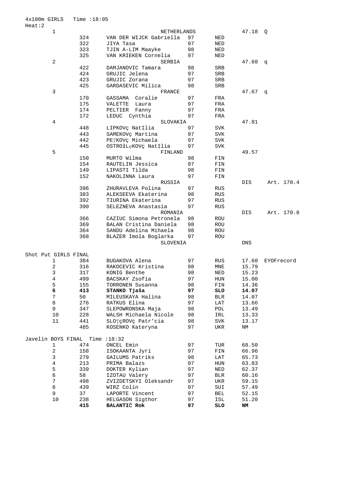|                      | $\mathbf{1}$   |     | NETHERLANDS             |    |            | 47.18      | Q          |
|----------------------|----------------|-----|-------------------------|----|------------|------------|------------|
|                      |                | 324 | VAN DER WIJCK Gabriella | 97 | NED        |            |            |
|                      |                | 322 | JIYA Tasa               | 97 | NED        |            |            |
|                      |                | 323 | TJIN A-LIM Maayke       | 98 | NED        |            |            |
|                      |                | 325 | VAN KRIEKEN Cornelia    | 97 | NED        |            |            |
|                      | 2              |     | <b>SERBIA</b>           |    |            | 47.60      | q          |
|                      |                | 422 | DAMJANOVIC Tamara       | 98 | SRB        |            |            |
|                      |                | 424 | GRUJIC Jelena           | 97 | SRB        |            |            |
|                      |                | 423 | GRUJIC Zorana           | 97 | SRB        |            |            |
|                      |                | 425 | GARDASEVIC Milica       | 98 | SRB        |            |            |
|                      | 3              |     | FRANCE                  |    |            | 47.67      |            |
|                      |                | 170 | Coralie<br>GASSAMA      | 97 | FRA        |            | q          |
|                      |                |     |                         |    |            |            |            |
|                      |                | 175 | VALETTE<br>Laura        | 97 | FRA        |            |            |
|                      |                | 174 | PELTIER<br>Fanny        | 97 | FRA        |            |            |
|                      |                | 172 | LEDUC Cynthia           | 97 | FRA        |            |            |
|                      | 4              |     | SLOVAKIA                |    |            | 47.81      |            |
|                      |                | 448 | LIPKOVÇ Nat‡lia         | 97 | SVK        |            |            |
|                      |                | 443 | SAMEKOVÇ Martina        | 97 | SVK        |            |            |
|                      |                | 442 | PETKOV¢ Michaela        | 97 | SVK        |            |            |
|                      |                | 445 | OSTROłLęKOVç Nat‡lia    | 97 | SVK        |            |            |
|                      | 5              |     | FINLAND                 |    |            | 49.57      |            |
|                      |                | 150 | MURTO Wilma             | 98 | FIN        |            |            |
|                      |                | 154 | RAUTELIN Jessica        | 97 | FIN        |            |            |
|                      |                | 149 | LIPASTI Tilda           | 98 | FIN        |            |            |
|                      |                | 152 | NAKOLINNA Laura         | 97 | FIN        |            |            |
|                      |                |     | RUSSIA                  |    |            | DIS        | Art. 170.4 |
|                      |                | 396 | ZHURAVLEVA Polina       | 97 |            |            |            |
|                      |                |     |                         |    | RUS        |            |            |
|                      |                | 383 | ALEKSEEVA Ekaterina     | 98 | RUS        |            |            |
|                      |                | 392 | TIURINA Ekaterina       | 97 | <b>RUS</b> |            |            |
|                      |                | 390 | SELEZNEVA Anastasia     | 97 | <b>RUS</b> |            |            |
|                      |                |     | ROMANIA                 |    |            | DIS        | Art. 170.8 |
|                      |                | 366 | CAZIUC Simona Petronela | 98 | ROU        |            |            |
|                      |                | 369 | BALAN Cristina Daniela  | 98 | ROU        |            |            |
|                      |                | 364 | SANDU Adelina Mihaela   | 98 | ROU        |            |            |
|                      |                | 368 | BLAZER Imola Boglarka   | 97 | ROU        |            |            |
|                      |                |     | SLOVENIA                |    |            | <b>DNS</b> |            |
|                      |                |     |                         |    |            |            |            |
| Shot Put GIRLS FINAL |                |     |                         |    |            |            |            |
|                      | 1              | 384 | BUGAKOVA Alena          | 97 | RUS        | 17.60      | EYOFrecord |
|                      | 2              | 316 | RAKOCEVIC Kristina      | 98 | MNE        | 15.79      |            |
|                      | $\mathsf 3$    | 317 | KONIG Benthe            | 98 | NED        | 15.23      |            |
|                      | 4              | 499 | BACSKAY Zsofia          | 97 | HUN        | 15.00      |            |
|                      | 5              | 155 | TORRONEN Susanna        | 98 | FIN        | 14.36      |            |
|                      | 6              | 413 |                         | 97 |            |            |            |
|                      |                |     | STANKO Tjaša            |    | SLO        | 14.07      |            |
|                      | $\overline{7}$ | 50  | MILEUSKAYA Halina       | 98 | <b>BLR</b> | 14.07      |            |
|                      | 8              | 276 | RATKUS Elina            | 97 | LAT        | 13.66      |            |
|                      | 9              | 347 | SLEPOWRONSKA Maja       | 98 | POL        | 13.49      |            |
|                      | 10             | 228 | WALSH Michaela Nicole   | 98 | IRL        | 13.33      |            |
|                      | 11             | 441 | SLOTÇROVÇ Patr'cia      | 98 | SVK        | 13.17      |            |
|                      |                | 485 | KOSENKO Kateryna        | 97 | UKR        | ΝM         |            |
|                      |                |     |                         |    |            |            |            |
| Javelin BOYS FINAL   |                |     | Time $:18:32$           |    |            |            |            |
|                      | $\mathbf{1}$   | 474 | ONCEL Emin              | 97 | TUR        | 68.50      |            |
|                      | $\overline{a}$ | 158 | ISOKAANTA Jyri          | 97 | FIN        | 66.96      |            |
|                      | 3              | 279 | GAILUMS Patriks         | 98 | LAT        | 65.73      |            |
|                      | $\overline{4}$ | 213 | PRIMA Balazs            | 97 | HUN        | 63.83      |            |
|                      | 5              | 339 | DOKTER Kylian           | 97 | NED        | 62.37      |            |
|                      | $\epsilon$     | 58  | IZOTAU Valery           | 97 | <b>BLR</b> | 60.16      |            |
|                      | 7              | 498 | ZVIZDETSKYI Oleksandr   | 97 | UKR        | 59.15      |            |
|                      | 8              |     |                         | 97 |            |            |            |
|                      |                | 439 | WIRZ Colin              |    | SUI        | 57.49      |            |
|                      | 9              | 37  | LAPORTE Vincent         | 97 | BEL        | 52.15      |            |
|                      | 10             | 238 | HELGASON Sigthor        | 97 | ISL        | 51.20      |            |
|                      |                | 415 | BALANTIČ Rok            | 97 | SLO        | NM         |            |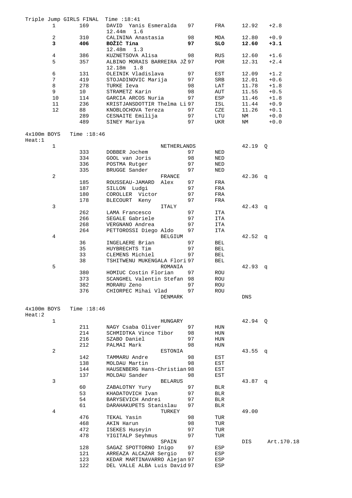|                       |                | Triple Jump GIRLS FINAL | Time $:18:41$                              |    |            |           |            |
|-----------------------|----------------|-------------------------|--------------------------------------------|----|------------|-----------|------------|
|                       | 1              | 169                     | DAVID Yanis Esmeralda                      | 97 | FRA        | 12.92     | $+2.8$     |
|                       |                |                         | 12.44m<br>1.6                              |    |            |           |            |
|                       | 2              | 310                     | CALININA Anastasia                         | 98 | MDA        | 12.80     | $+0.9$     |
|                       | 3              | 406                     | BOŽIČ Tina                                 | 97 | <b>SLO</b> | 12.60     | $+3.1$     |
|                       |                |                         | 12.48m<br>1.3                              |    |            |           |            |
|                       | $\overline{4}$ | 386                     | KUZNETSOVA Alisa                           | 98 | RUS        | 12.60     | $+1.6$     |
|                       | 5              | 357                     | ALBINO MORAIS BARREIRA JŽ 97               |    | POR        | 12.31     | $+2.4$     |
|                       |                |                         |                                            |    |            |           |            |
|                       |                |                         | 12.18m<br>1.8                              |    |            |           |            |
|                       | 6              | 131                     | OLEINIK Vladislava                         | 97 | EST        | 12.09     | $+1.2$     |
|                       | 7              | 419                     | STOJADINOVIC Marija                        | 97 | SRB        | 12.01     | $+0.6$     |
|                       | 8              | 278                     | TURKE Ieva                                 | 98 | LAT        | 11.78     | $+1.8$     |
|                       | 9              | 10                      | STRAMETZ Karin                             | 98 | AUT        | 11.55     | $+0.5$     |
|                       | 10             | 114                     | GARCIA ARCOS Nuria                         | 97 | ESP        | 11.46     | $+1.8$     |
|                       | 11             | 236                     | KRISTJANSDOTTIR Thelma Li 97               |    | ISL        | 11.44     | $+0.9$     |
|                       | 12             | 88                      | KNOBLOCHOVA Tereza                         | 97 | CZE        | 11.26     | $+0.1$     |
|                       |                | 289                     | CESNAITE Emilija                           | 97 | LTU        | ΝM        | $+0.0$     |
|                       |                | 489                     | SINEY Mariya                               | 97 | UKR        | ΝM        | $+0.0$     |
|                       |                |                         |                                            |    |            |           |            |
| $4x100m$ BOYS         |                | Time : 18:46            |                                            |    |            |           |            |
| Heat:1                |                |                         |                                            |    |            |           |            |
|                       | $\mathbf{1}$   |                         | NETHERLANDS                                |    |            | 42.19     | Q          |
|                       |                | 333                     | DOBBER Jochem                              | 97 | NED        |           |            |
|                       |                | 334                     | GOOL van Joris                             | 98 | NED        |           |            |
|                       |                | 336                     | POSTMA Rutger                              | 97 | NED        |           |            |
|                       |                |                         | BRUGGE Sander                              |    |            |           |            |
|                       |                | 335                     |                                            | 97 | NED        |           |            |
|                       | 2              |                         | FRANCE                                     |    |            | 42.36     | q          |
|                       |                | 185                     | ROUSSEAU-JAMARD<br>Alex                    | 97 | FRA        |           |            |
|                       |                | 187                     | SILLON Ludgi                               | 97 | FRA        |           |            |
|                       |                | 180                     | COROLLER Victor                            | 97 | FRA        |           |            |
|                       |                | 178                     | BLECOURT Keny                              | 97 | FRA        |           |            |
|                       | 3              |                         | ITALY                                      |    |            | 42.43     | q          |
|                       |                | 262                     | LAMA Francesco                             | 97 | ITA        |           |            |
|                       |                | 266                     | SEGALE Gabriele                            | 97 | ITA        |           |            |
|                       |                | 268                     | VERGNANO Andrea                            | 97 | ITA        |           |            |
|                       |                | 264                     | PETTOROSSI Diego Aldo                      | 97 | ITA        |           |            |
|                       | 4              |                         | <b>BELGIUM</b>                             |    |            | 42.52     | q          |
|                       |                | 36                      | INGELAERE Brian                            | 97 | BEL        |           |            |
|                       |                | 35                      | HUYBRECHTS Tim                             | 97 | BEL        |           |            |
|                       |                | 33                      | CLEMENS Michiel                            | 97 | BEL        |           |            |
|                       |                | 38                      | TSHITWENU MUKENGALA Flori 97               |    | BEL        |           |            |
|                       | 5              |                         | ROMANIA                                    |    |            | 42.93     | đ          |
|                       |                | 380                     | HOMIUC Costin Florian                      | 97 | ROU        |           |            |
|                       |                | 373                     | SCANGHEL Valentin Stefan 98                |    | ROU        |           |            |
|                       |                | 382                     | MORARU Zeno                                | 97 |            |           |            |
|                       |                | 376                     | CHIORPEC Mihai Vlad                        | 97 | ROU        |           |            |
|                       |                |                         |                                            |    | ROU        |           |            |
|                       |                |                         | DENMARK                                    |    |            | DNS       |            |
|                       |                |                         |                                            |    |            |           |            |
| 4x100m BOYS<br>Heat:2 |                | Time $:18:46$           |                                            |    |            |           |            |
|                       | 1              |                         |                                            |    |            | 42.94 0   |            |
|                       |                | 211                     | HUNGARY                                    |    |            |           |            |
|                       |                |                         | NAGY Csaba Oliver<br>SCHMIDTKA Vince Tibor | 97 | HUN        |           |            |
|                       |                | 214                     |                                            | 98 | HUN        |           |            |
|                       |                | 216                     | SZABO Daniel                               | 97 | HUN        |           |            |
|                       |                | 212                     | PALMAI Mark                                | 98 | HUN        |           |            |
|                       | 2              |                         | <b>ESTONIA</b>                             |    |            | $43.55$ q |            |
|                       |                | 142                     | TAMMARU Andre                              | 98 | EST        |           |            |
|                       |                | 138                     | MOLDAU Martin                              | 98 | EST        |           |            |
|                       |                | 144                     | HAUSENBERG Hans-Christian 98               |    | EST        |           |            |
|                       |                | 137                     | MOLDAU Sander                              | 98 | EST        |           |            |
|                       | 3              |                         | <b>BELARUS</b>                             |    |            | $43.87$ q |            |
|                       |                | 60                      | ZABALOTNY Yury                             | 97 | BLR        |           |            |
|                       |                | 53                      | KHADATOVICH Ivan                           | 97 | <b>BLR</b> |           |            |
|                       |                | 54                      | BARYSEVICH Andrei                          | 97 | BLR        |           |            |
|                       |                | 61                      | DARAHAKUPETS Stanislau                     | 97 | <b>BLR</b> |           |            |
|                       | 4              |                         | TURKEY                                     |    |            | 49.00     |            |
|                       |                | 476                     | TEKAL Yasin                                | 98 | TUR        |           |            |
|                       |                | 468                     | AKIN Harun                                 | 98 | TUR        |           |            |
|                       |                | 472                     | ISEKES Huseyin                             | 97 | TUR        |           |            |
|                       |                | 478                     | YIGITALP Seyhmus                           | 97 | TUR        |           |            |
|                       |                |                         | SPAIN                                      |    |            | DIS       | Art.170.18 |
|                       |                | 128                     | SAGAZ SPOTTORNO Inigo                      | 97 | ESP        |           |            |
|                       |                | 121                     | ARREAZA ALCAZAR Sergio                     | 97 | ESP        |           |            |
|                       |                | 123                     | KEDAR MARTINAVARRO Alejan 97               |    | ESP        |           |            |
|                       |                |                         |                                            |    |            |           |            |
|                       |                | 122                     | DEL VALLE ALBA Luis David 97               |    | ESP        |           |            |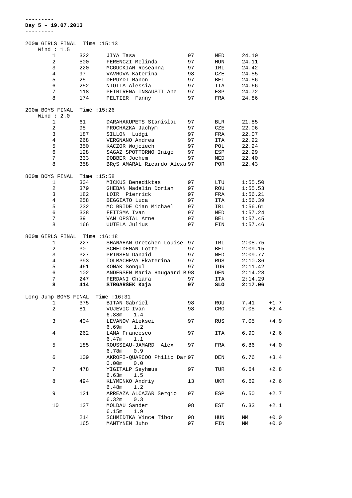| 200m GIRLS FINAL Time : 15:13 |               |                              |          |     |         |        |
|-------------------------------|---------------|------------------------------|----------|-----|---------|--------|
| Wind $: 1.5$<br>1             | 322           | JIYA Tasa                    | 97       |     | 24.10   |        |
|                               |               |                              |          | NED |         |        |
| 2                             | 500           | FERENCZI Melinda             | 97       | HUN | 24.11   |        |
| 3                             | 220           | MCGUCKIAN Roseanna           | 97       | IRL | 24.42   |        |
| 4                             | 97            | VAVROVA Katerina             | 98       | CZE | 24.55   |        |
| 5                             | 25            | DEPUYDT Manon                | 97       | BEL | 24.56   |        |
| 6                             | 252           | NIOTTA Alessia               | 97       | ITA | 24.66   |        |
| 7                             | 118           | PETRIRENA INSAUSTI Ane       | 97       | ESP | 24.72   |        |
| 8                             | 174           | PELTIER Fanny                | 97       | FRA | 24.86   |        |
| 200m BOYS FINAL               | Time $:15:26$ |                              |          |     |         |        |
| Wind $: 2.0$                  |               |                              |          |     |         |        |
| 1                             | 61            | DARAHAKUPETS Stanislau       |          |     | 21.85   |        |
| 2                             | 95            |                              | 97<br>97 | BLR | 22.06   |        |
|                               |               | PROCHAZKA Jachym             |          | CZE |         |        |
| 3                             | 187           | SILLON Ludgi                 | 97       | FRA | 22.07   |        |
| 4                             | 268           | VERGNANO Andrea              | 97       | ITA | 22.22   |        |
| 5                             | 350           | KACZOR Wojciech              | 97       | POL | 22.24   |        |
| 6                             | 128           | SAGAZ SPOTTORNO Inigo 97     |          | ESP | 22.29   |        |
| $7\phantom{.}$                | 333           | DOBBER Jochem                | 97       | NED | 22.40   |        |
| 8                             | 358           | BRÇS AMARAL Ricardo Alexa 97 |          | POR | 22.43   |        |
|                               |               |                              |          |     |         |        |
| 800m BOYS FINAL               | Time $:15:58$ |                              |          |     |         |        |
| 1                             | 304           | MICKUS Benediktas            | 97       | LTU | 1:55.50 |        |
| 2                             | 379           | GHEBAN Madalin Dorian        | 97       | ROU | 1:55.53 |        |
| 3                             | 182           | LOIR Pierrick                | 97       | FRA | 1:56.21 |        |
| $\overline{4}$                | 258           | BEGGIATO Luca                | 97       | ITA | 1:56.39 |        |
| 5                             | 232           | MC BRIDE Cian Michael        | 97       | IRL | 1:56.61 |        |
| 6                             | 338           | FEITSMA Ivan                 | 97       | NED | 1:57.24 |        |
| 7                             | 39            | VAN OPSTAL Arne              | 97       | BEL | 1:57.45 |        |
| 8                             | 166           | UUTELA Julius                | 97       | FIN | 1:57.46 |        |
|                               |               |                              |          |     |         |        |
| 800m GIRLS FINAL Time : 16:18 |               |                              |          |     |         |        |
| 1                             | 227           | SHANAHAN Gretchen Louise 97  |          | IRL | 2:08.75 |        |
| 2                             | 30            | SCHELDEMAN Lotte             | 97       | BEL | 2:09.15 |        |
| 3                             | 327           | PRINSEN Danaid               | 97       | NED | 2:09.77 |        |
| 4                             | 393           | TOLMACHEVA Ekaterina         | 97       | RUS | 2:10.36 |        |
| 5                             | 461           | KONAK Songul                 | 97       | TUR | 2:11.42 |        |
| 6                             | 102           | ANDERSEN Maria Haugaard B 98 |          | DEN | 2:14.28 |        |
| 7                             | 247           | FERDANI Chiara               | 97       | ITA | 2:14.29 |        |
| 8                             | 414           | STRGARŠEK Kaja               | 97       | SLO | 2:17.06 |        |
|                               |               |                              |          |     |         |        |
| Long Jump BOYS FINAL          |               | Time $:16:31$                |          |     |         |        |
| 1                             | 375           | BITAN Gabriel                | 98       | ROU | 7.41    | $+1.7$ |
| 2                             | 81            | VUJEVIC Ivan                 | 98       | CRO | 7.05    | $+2.4$ |
|                               |               | 6.88m<br>1.4                 |          |     |         |        |
| 3                             | 404           | LEVANOV Aleksei              | 97       | RUS | 7.05    | $+4.9$ |
|                               |               | 6.69m<br>1.2                 |          |     |         |        |
| 4                             | 262           | LAMA Francesco               | 97       |     | 6.90    | $+2.6$ |
|                               |               |                              |          | ITA |         |        |
|                               |               | 6.47m<br>1.1                 |          |     |         |        |
| 5                             | 185           | ROUSSEAU-JAMARD Alex         | 97       | FRA | 6.86    | $+4.0$ |
|                               |               | 0.9<br>6.78m                 |          |     |         |        |
| 6                             | 109           | AKROFI-OUARCOO Philip Dar 97 |          | DEN | 6.76    | $+3.4$ |
|                               |               | 0.00m<br>0.0                 |          |     |         |        |
| 7                             | 478           | YIGITALP Seyhmus             | 97       | TUR | 6.64    | $+2.8$ |
|                               |               | 1.5<br>6.63m                 |          |     |         |        |
| 8                             | 494           | KLYMENKO Andriy              | 13       | UKR | 6.62    | $+2.6$ |
|                               |               | 1.2<br>6.48m                 |          |     |         |        |
| 9                             | 121           | ARREAZA ALCAZAR Sergio       | 97       | ESP | 6.50    | $+2.7$ |
|                               |               | 6.32m<br>0.3                 |          |     |         |        |
| 10                            | 137           | MOLDAU Sander                | 98       | EST | 6.33    | $+2.1$ |
|                               |               | 6.15m<br>1.9                 |          |     |         |        |
|                               | 214           | SCHMIDTKA Vince Tibor        | 98       | HUN | ΝM      | $+0.0$ |
|                               | 165           | MANTYNEN Juho                | 97       | FIN | ΝM      | $+0.0$ |
|                               |               |                              |          |     |         |        |

---------

**Day 5 – 19.07.2013**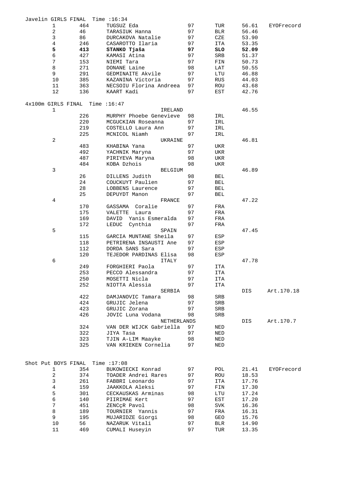| Javelin GIRLS FINAL            |                |     | Time :16:34             |    |     |       |            |
|--------------------------------|----------------|-----|-------------------------|----|-----|-------|------------|
|                                | 1              | 464 | TUGSUZ Eda              | 97 | TUR | 56.61 | EYOFrecord |
|                                | 2              | 46  | TARASIUK Hanna          | 97 | BLR | 56.46 |            |
|                                | 3              | 86  | DURCAKOVA Natalie       | 97 | CZE | 53.90 |            |
|                                | $\overline{4}$ | 246 | CASAROTTO Ilaria        | 97 | ITA | 53.35 |            |
|                                | 5              | 413 | STANKO Tjaša            | 97 | SLO | 52.09 |            |
|                                | б              | 427 | KAMASI Atina            | 97 | SRB | 51.37 |            |
|                                | 7              | 153 |                         | 97 |     | 50.73 |            |
|                                |                |     | NIEMI Tara              |    | FIN |       |            |
|                                | 8              | 271 | DONANE Laine            | 98 | LAT | 50.55 |            |
|                                | 9              | 291 | GEDMINAITE Akvile       | 97 | LTU | 46.88 |            |
|                                | 10             | 385 | KAZANINA Victoria       | 97 | RUS | 44.03 |            |
|                                | 11             | 363 | NECSOIU Florina Andreea | 97 | ROU | 43.68 |            |
|                                | 12             | 136 | KAART Kadi              | 97 | EST | 42.76 |            |
|                                |                |     |                         |    |     |       |            |
| 4x100m GIRLS FINAL Time :16:47 |                |     |                         |    |     |       |            |
|                                | $\mathbf{1}$   |     | IRELAND                 |    |     | 46.55 |            |
|                                |                | 226 | MURPHY Phoebe Genevieve | 98 | IRL |       |            |
|                                |                | 220 | MCGUCKIAN Roseanna      | 97 | IRL |       |            |
|                                |                | 219 | COSTELLO Laura Ann      | 97 | IRL |       |            |
|                                |                | 225 | MCNICOL Niamh           | 97 | IRL |       |            |
|                                | $\overline{a}$ |     | UKRAINE                 |    |     | 46.81 |            |
|                                |                | 483 |                         | 97 | UKR |       |            |
|                                |                |     | KHABINA Yana            |    |     |       |            |
|                                |                | 492 | YACHNIK Maryna          | 97 | UKR |       |            |
|                                |                | 487 | PIRIYEVA Maryna         | 98 | UKR |       |            |
|                                |                | 484 | KOBA Dzhois             | 98 | UKR |       |            |
|                                | 3              |     | BELGIUM                 |    |     | 46.89 |            |
|                                |                | 26  | DILLENS Judith          | 98 | BEL |       |            |
|                                |                | 24  | COUCKUYT Paulien        | 97 | BEL |       |            |
|                                |                | 28  | LOBBENS Laurence        | 97 | BEL |       |            |
|                                |                | 25  | DEPUYDT Manon           | 97 | BEL |       |            |
|                                | 4              |     | FRANCE                  |    |     | 47.22 |            |
|                                |                |     |                         |    |     |       |            |
|                                |                | 170 | GASSAMA Coralie         | 97 | FRA |       |            |
|                                |                | 175 | VALETTE Laura           | 97 | FRA |       |            |
|                                |                | 169 | DAVID Yanis Esmeralda   | 97 | FRA |       |            |
|                                |                | 172 | LEDUC Cynthia           | 97 | FRA |       |            |
|                                | 5              |     | SPAIN                   |    |     | 47.45 |            |
|                                |                | 115 | GARCIA MUNTANE Sheila   | 97 | ESP |       |            |
|                                |                | 118 | PETRIRENA INSAUSTI Ane  | 97 | ESP |       |            |
|                                |                | 112 | DORDA SANS Sara         | 97 | ESP |       |            |
|                                |                | 120 | TEJEDOR PARDINAS Elisa  | 98 | ESP |       |            |
|                                |                |     |                         |    |     |       |            |
|                                | 6              |     | ITALY                   |    |     | 47.78 |            |
|                                |                | 249 | FORGHIERI Paola         | 97 | ITA |       |            |
|                                |                | 253 | PECCO Alessandra        | 97 | ITA |       |            |
|                                |                | 250 | MOSETTI Nicla           | 97 | ITA |       |            |
|                                |                | 252 | NIOTTA Alessia          | 97 | ITA |       |            |
|                                |                |     | SERBIA                  |    |     | DIS   | Art.170.18 |
|                                |                | 422 | DAMJANOVIC Tamara       | 98 | SRB |       |            |
|                                |                | 424 | GRUJIC Jelena           | 97 | SRB |       |            |
|                                |                | 423 | GRUJIC Zorana           | 97 | SRB |       |            |
|                                |                | 426 | JOVIC Luna Vodana       | 98 | SRB |       |            |
|                                |                |     |                         |    |     |       |            |
|                                |                |     | NETHERLANDS             |    |     | DIS   | Art.170.7  |
|                                |                | 324 | VAN DER WIJCK Gabriella | 97 | NED |       |            |
|                                |                | 322 | JIYA Tasa               | 97 | NED |       |            |
|                                |                | 323 | TJIN A-LIM Maayke       | 98 | NED |       |            |
|                                |                | 325 | VAN KRIEKEN Cornelia    | 97 | NED |       |            |
|                                |                |     |                         |    |     |       |            |
|                                |                |     |                         |    |     |       |            |
| Shot Put BOYS FINAL            |                |     | Time $:17:08$           |    |     |       |            |
|                                | 1              | 354 | BUKOWIECKI Konrad       | 97 | POL | 21.41 | EYOFrecord |
|                                | 2              | 374 | TOADER Andrei Rares     | 97 | ROU | 18.53 |            |
|                                | 3              | 261 | FABBRI Leonardo         | 97 | ITA | 17.76 |            |
|                                | $\overline{4}$ | 159 | JAAKKOLA Aleksi         | 97 | FIN | 17.30 |            |
|                                | 5              | 301 | CECKAUSKAS Arminas      | 98 | LTU | 17.24 |            |
|                                |                |     |                         |    |     |       |            |
|                                | 6              | 140 | PIIRIMAE Kert           | 97 | EST | 17.20 |            |
|                                | 7              | 451 | ZENC¢R Pavol            | 98 | SVK | 16.36 |            |
|                                | 8              | 189 | TOURNIER Yannis         | 97 | FRA | 16.31 |            |
|                                | 9              | 195 | MUJARIDZE Giorgi        | 98 | GEO | 15.76 |            |
|                                | 10             | 56  | NAZARUK Vitali          | 97 | BLR | 14.90 |            |
|                                | 11             | 469 | CUMALI Huseyin          | 97 | TUR | 13.35 |            |